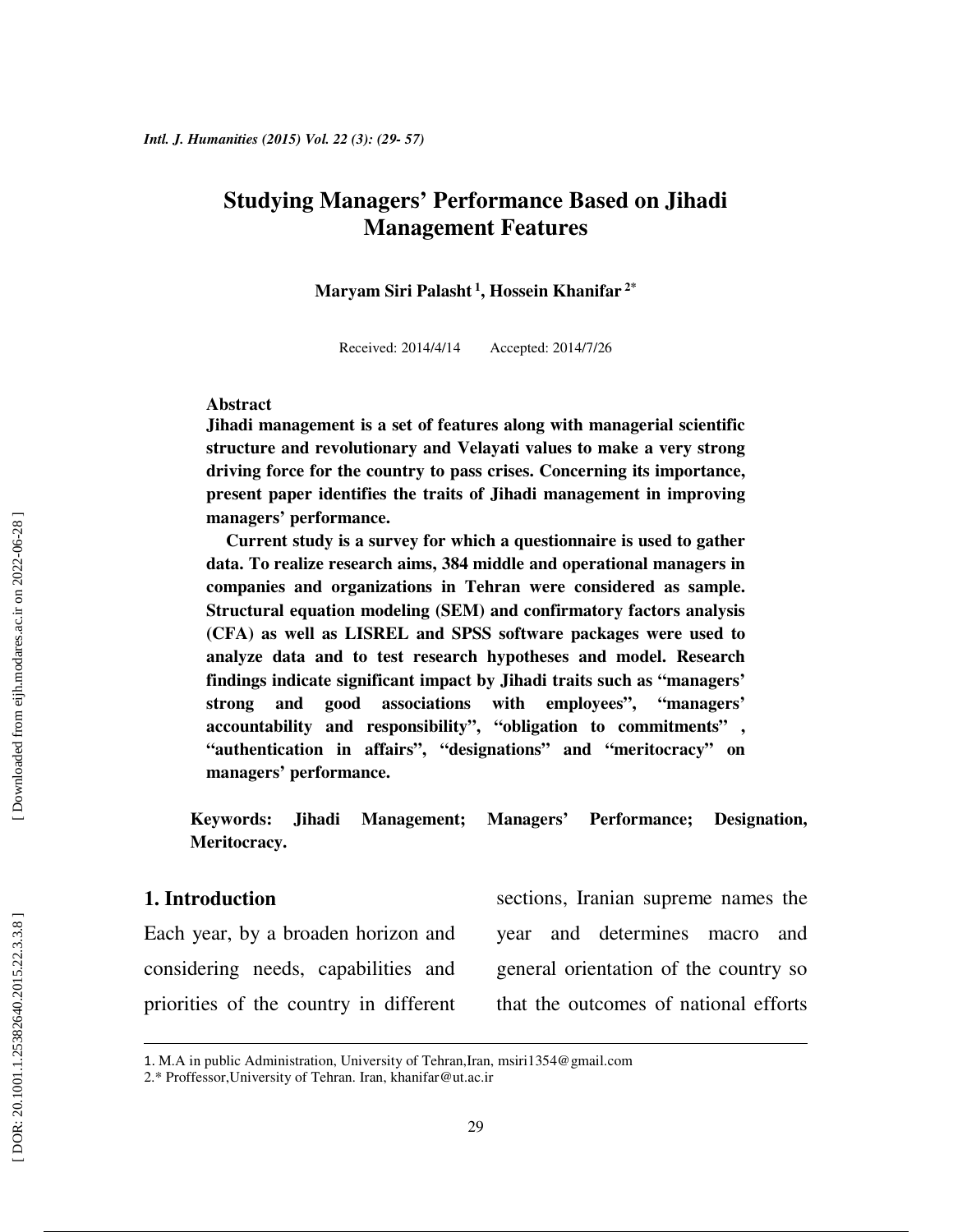## **Studying Managers' Performance Based on Jihadi Management Features**

**Maryam Siri Palasht<sup>1</sup>, Hossein Khanifar 2\***

Received: 2014/4/14 Accepted: 2014/7/26

#### **Abstract**

**Jihadi management is a set of features along with managerial scientific structure and revolutionary and Velayati values to make a very strong driving force for the country to pass crises. Concerning its importance, present paper identifies the traits of Jihadi management in improving managers' performance.** 

**Current study is a survey for which a questionnaire is used to gather data. To realize research aims, 384 middle and operational managers in companies and organizations in Tehran were considered as sample. Structural equation modeling (SEM) and confirmatory factors analysis (CFA) as well as LISREL and SPSS software packages were used to analyze data and to test research hypotheses and model. Research findings indicate significant impact by Jihadi traits such as "managers' strong and good associations with employees", "managers' accountability and responsibility", "obligation to commitments" , "authentication in affairs", "designations" and "meritocracy" on managers' performance.** 

**Keywords: Jihadi Management; Managers' Performance; Designation, Meritocracy.** 

#### **1. Introduction**

 $\overline{a}$ 

Each year, by a broaden horizon and considering needs, capabilities and priorities of the country in different sections, Iranian supreme names the year and determines macro and general orientation of the country so that the outcomes of national efforts

<sup>1.</sup> M.A in public Administration, University of Tehran,Iran, msiri1354@gmail.com

<sup>2.\*</sup> Proffessor,University of Tehran. Iran, khanifar@ut.ac.ir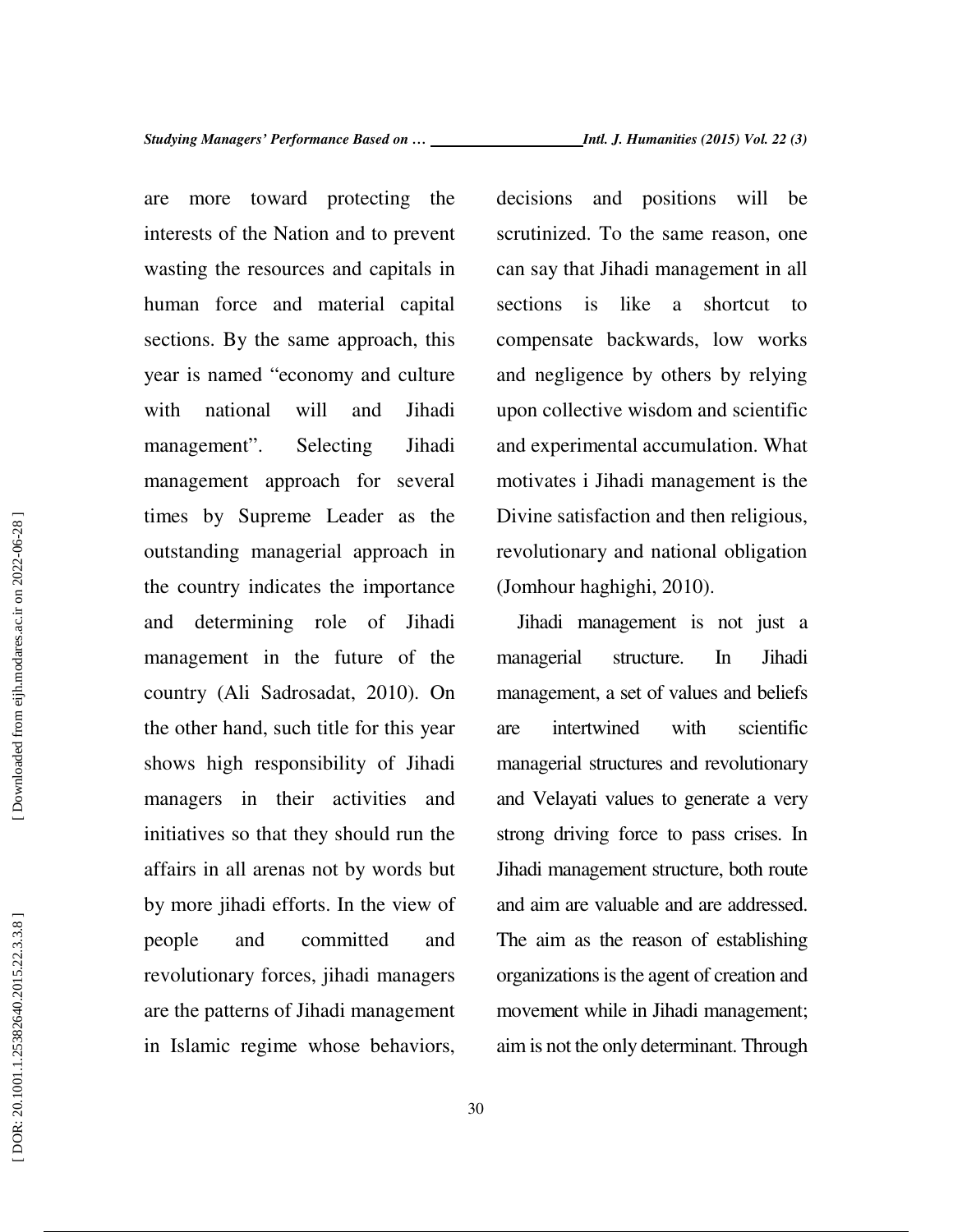are more toward protecting the interests of the Nation and to prevent wasting the resources and capitals in human force and material capital sections. By the same approach, this year is named "economy and culture with national will and Jihadi management". Selecting Jihadi management approach for several times by Supreme Leader as the outstanding managerial approach in the country indicates the importance and determining role of Jihadi management in the future of the country (Ali Sadrosadat, 2010). On the other hand, such title for this year shows high responsibility of Jihadi managers in their activities and initiatives so that they should run the affairs in all arenas not by words but by more jihadi efforts. In the view of people and committed and revolutionary forces, jihadi managers are the patterns of Jihadi management in Islamic regime whose behaviors, decisions and positions will be scrutinized. To the same reason, one can say that Jihadi management in all sections is like a shortcut to compensate backwards, low works and negligence by others by relying upon collective wisdom and scientific and experimental accumulation. What motivates i Jihadi management is the Divine satisfaction and then religious, revolutionary and national obligation (Jomhour haghighi, 2010).

Jihadi management is not just a managerial structure. In Jihadi management, a set of values and beliefs are intertwined with scientific managerial structures and revolutionary and Velayati values to generate a very strong driving force to pass crises. In Jihadi management structure, both route and aim are valuable and are addressed. The aim as the reason of establishing organizations is the agent of creation and movement while in Jihadi management; aim is not the only determinant. Through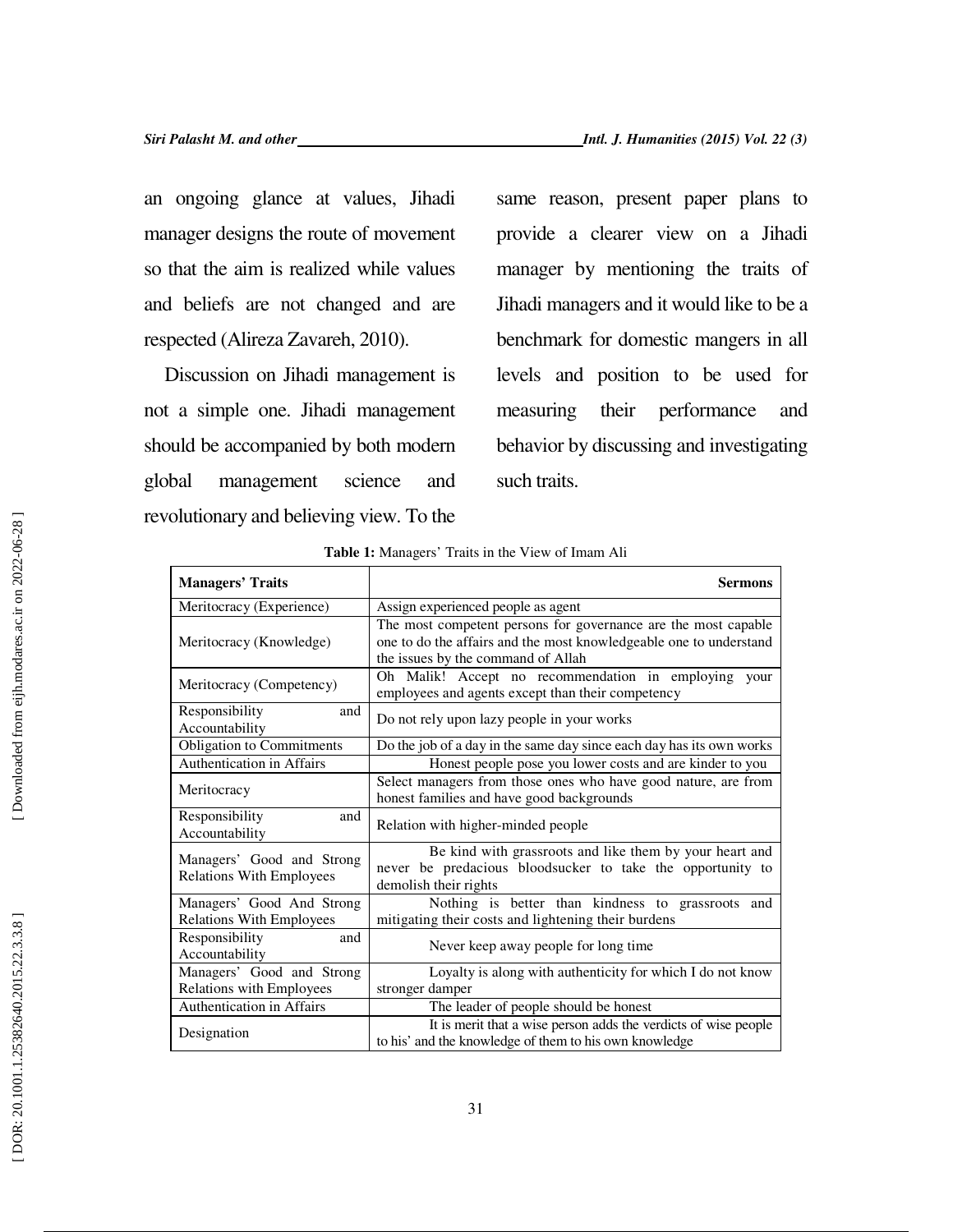an ongoing glance at values, Jihadi manager designs the route of movement so that the aim is realized while values and beliefs are not changed and are respected (Alireza Zavareh, 2010).

Discussion on Jihadi management is not a simple one. Jihadi management should be accompanied by both modern global management science and revolutionary and believing view. To the

same reason, present paper plans to provide a clearer view on a Jihadi manager by mentioning the traits of Jihadi managers and it would like to be a benchmark for domestic mangers in all levels and position to be used for measuring their performance and behavior by discussing and investigating such traits.

| <b>Table 1:</b> Managers' Traits in the View of Imam Ali |  |
|----------------------------------------------------------|--|
|----------------------------------------------------------|--|

| <b>Managers' Traits</b>                                      | <b>Sermons</b>                                                                                                                                                             |  |  |
|--------------------------------------------------------------|----------------------------------------------------------------------------------------------------------------------------------------------------------------------------|--|--|
| Meritocracy (Experience)                                     | Assign experienced people as agent                                                                                                                                         |  |  |
| Meritocracy (Knowledge)                                      | The most competent persons for governance are the most capable<br>one to do the affairs and the most knowledgeable one to understand<br>the issues by the command of Allah |  |  |
| Meritocracy (Competency)                                     | Oh Malik! Accept no recommendation in employing your<br>employees and agents except than their competency                                                                  |  |  |
| Responsibility<br>and<br>Accountability                      | Do not rely upon lazy people in your works                                                                                                                                 |  |  |
| <b>Obligation to Commitments</b>                             | Do the job of a day in the same day since each day has its own works                                                                                                       |  |  |
| Authentication in Affairs                                    | Honest people pose you lower costs and are kinder to you                                                                                                                   |  |  |
| Meritocracy                                                  | Select managers from those ones who have good nature, are from<br>honest families and have good backgrounds                                                                |  |  |
| Responsibility<br>and<br>Accountability                      | Relation with higher-minded people                                                                                                                                         |  |  |
| Managers' Good and Strong<br><b>Relations With Employees</b> | Be kind with grassroots and like them by your heart and<br>never be predacious bloodsucker to take the opportunity to<br>demolish their rights                             |  |  |
| Managers' Good And Strong<br><b>Relations With Employees</b> | Nothing is better than kindness to grassroots and<br>mitigating their costs and lightening their burdens                                                                   |  |  |
| Responsibility<br>and<br>Accountability                      | Never keep away people for long time                                                                                                                                       |  |  |
| Managers' Good and Strong<br>Relations with Employees        | Loyalty is along with authenticity for which I do not know<br>stronger damper                                                                                              |  |  |
| <b>Authentication in Affairs</b>                             | The leader of people should be honest                                                                                                                                      |  |  |
| Designation                                                  | It is merit that a wise person adds the verdicts of wise people<br>to his' and the knowledge of them to his own knowledge                                                  |  |  |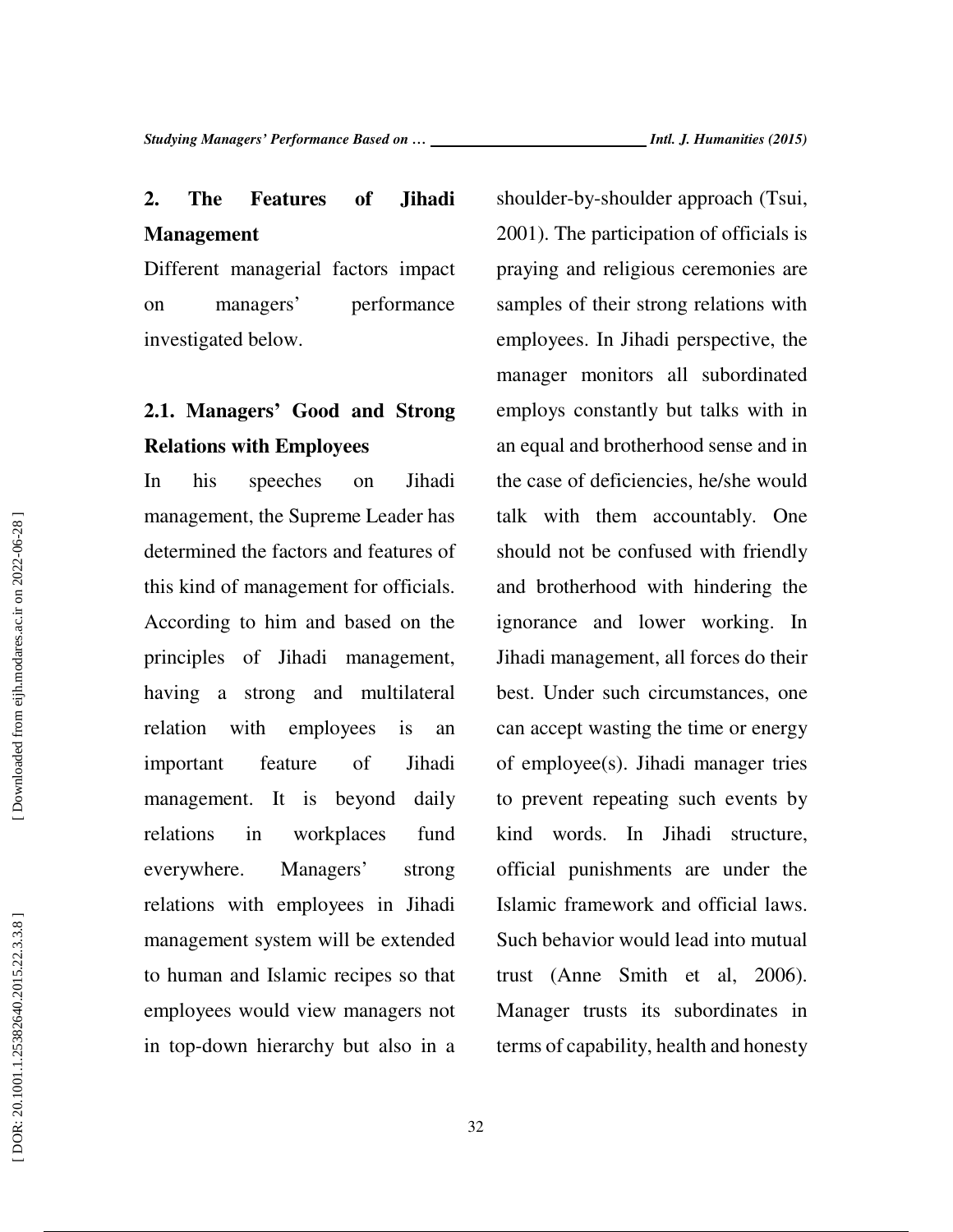## **2. The Features of Jihadi Management**

Different managerial factors impact on managers' performance investigated below.

## **2.1. Managers' Good and Strong Relations with Employees**

In his speeches on Jihadi management, the Supreme Leader has determined the factors and features of this kind of management for officials. According to him and based on the principles of Jihadi management, having a strong and multilateral relation with employees is an important feature of Jihadi management. It is beyond daily relations in workplaces fund everywhere. Managers' strong relations with employees in Jihadi management system will be extended to human and Islamic recipes so that employees would view managers not in top-down hierarchy but also in a shoulder-by-shoulder approach (Tsui, 2001). The participation of officials is praying and religious ceremonies are samples of their strong relations with employees. In Jihadi perspective, the manager monitors all subordinated employs constantly but talks with in an equal and brotherhood sense and in the case of deficiencies, he/she would talk with them accountably. One should not be confused with friendly and brotherhood with hindering the ignorance and lower working. In Jihadi management, all forces do their best. Under such circumstances, one can accept wasting the time or energy of employee(s). Jihadi manager tries to prevent repeating such events by kind words. In Jihadi structure, official punishments are under the Islamic framework and official laws. Such behavior would lead into mutual trust (Anne Smith et al, 2006). Manager trusts its subordinates in terms of capability, health and honesty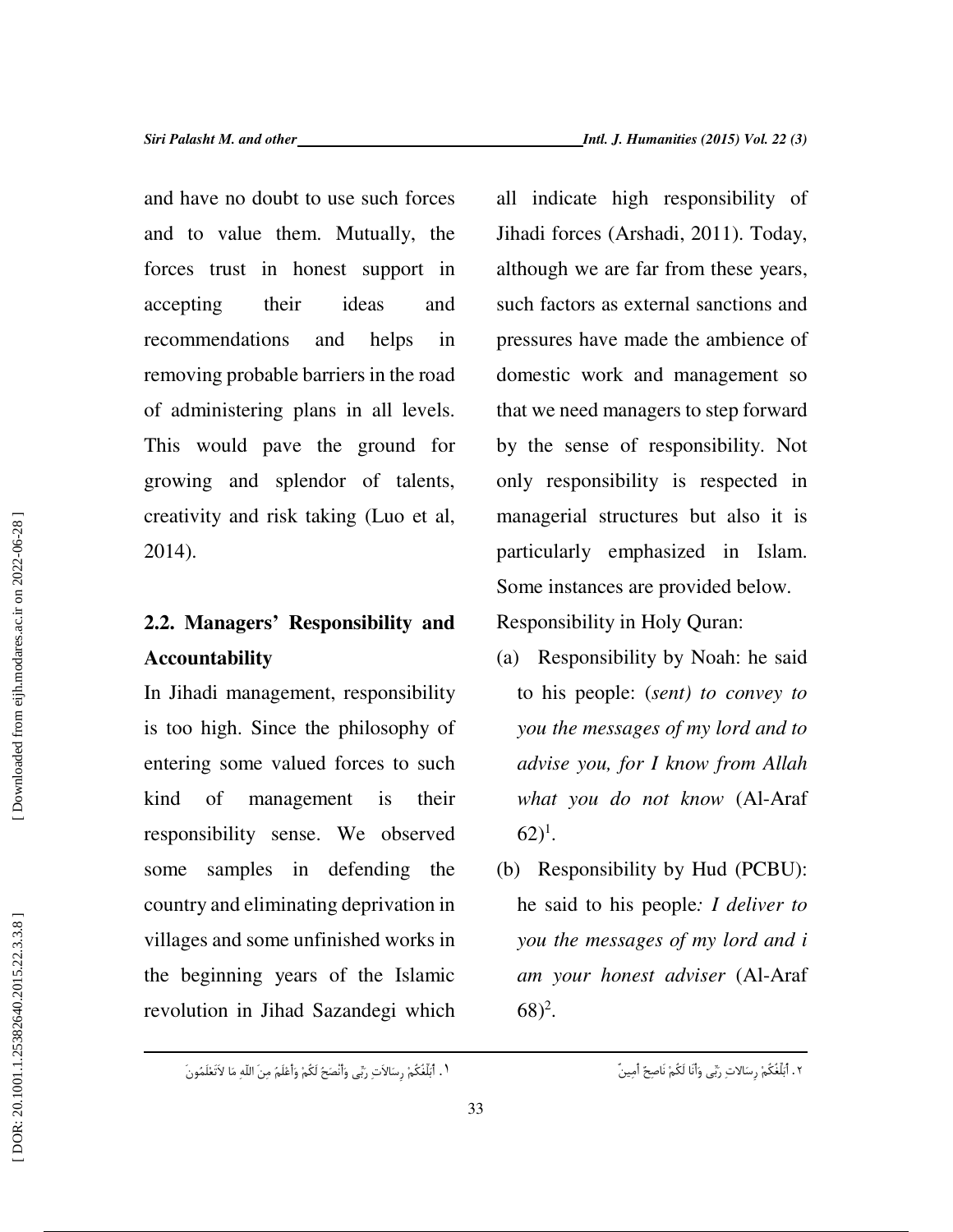and have no doubt to use such forces and to value them. Mutually, the forces trust in honest support in accepting their ideas and recommendations and helps in removing probable barriers in the road of administering plans in all levels. This would pave the ground for growing and splendor of talents, creativity and risk taking (Luo et al, 2014).

## **2.2. Managers' Responsibility and Accountability**

In Jihadi management, responsibility is too high. Since the philosophy of entering some valued forces to such kind of management is their responsibility sense. We observed some samples in defending the country and eliminating deprivation in villages and some unfinished works in the beginning years of the Islamic revolution in Jihad Sazandegi which all indicate high responsibility of Jihadi forces (Arshadi, 2011). Today, although we are far from these years, such factors as external sanctions and pressures have made the ambience of domestic work and management so that we need managers to step forward by the sense of responsibility. Not only responsibility is respected in managerial structures but also it is particularly emphasized in Islam. Some instances are provided below. Responsibility in Holy Quran:

- (a) Responsibility by Noah: he said to his people: (*sent) to convey to you the messages of my lord and to advise you, for I know from Allah what you do not know* (Al-Araf  $(62)^1$ .
- (b) Responsibility by Hud (PCBU): he said to his people*: I deliver to you the messages of my lord and i am your honest adviser* (Al-Araf  $(68)^2$ .

١. أُبَلِّغُكُمْ رِسَالاَتِ رَبِّى وَأَنْصَحُ لَكُمْ وَأَعْلَمُ مِنَ اللّهِ مَا لاَتَعْلَمُونَ

 $\overline{a}$ 

٢ . أَبَلِّغُكُمْ رِسَالاتِ رَبِّى وَأَنَا لَكُمْ نَاصِحٌ أَمِينٌ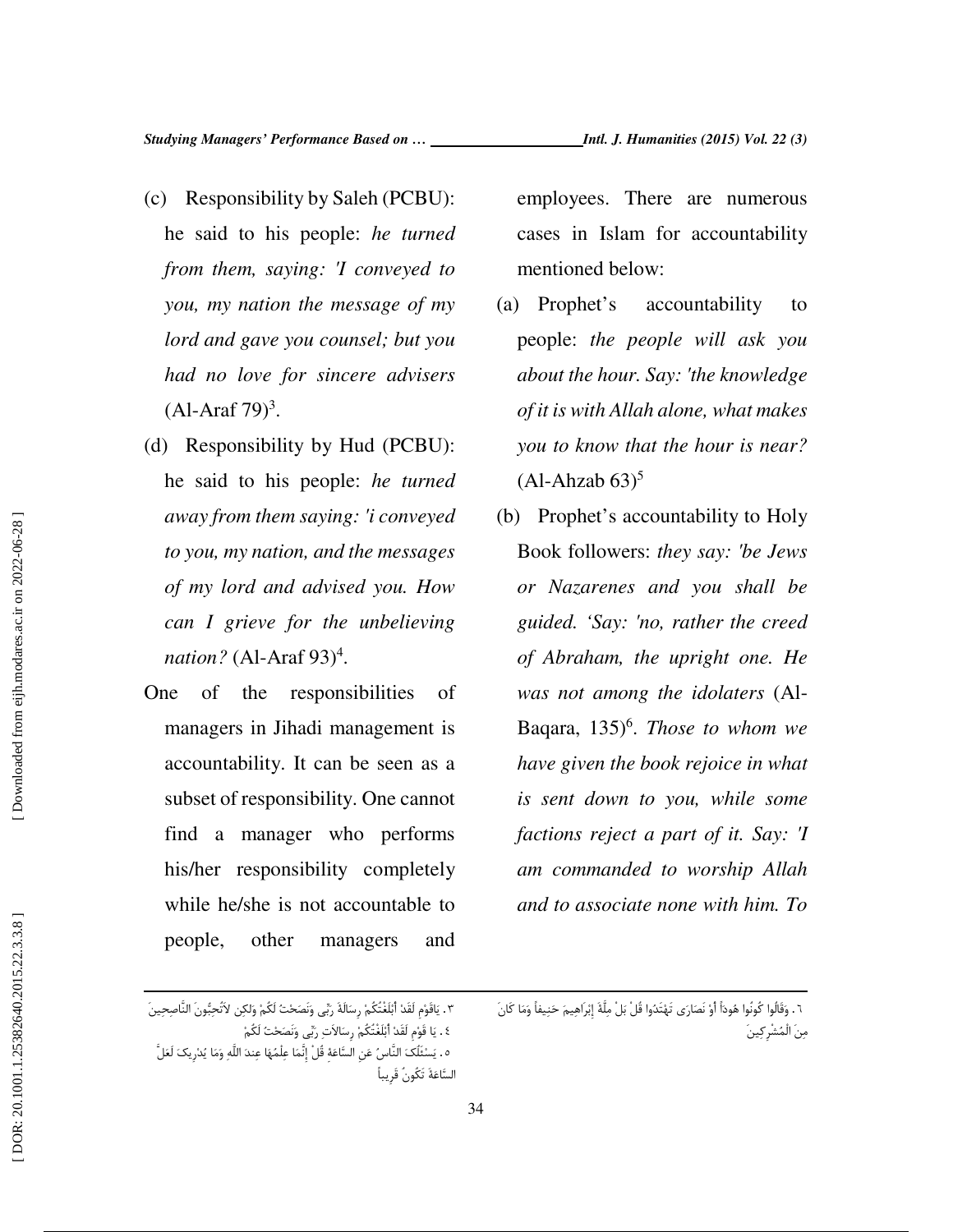- (c) Responsibility by Saleh (PCBU): he said to his people: *he turned from them, saying: 'I conveyed to you, my nation the message of my lord and gave you counsel; but you had no love for sincere advisers*  $(Al-Araf 79)^3$ .
- (d) Responsibility by Hud (PCBU): he said to his people: *he turned away from them saying: 'i conveyed to you, my nation, and the messages of my lord and advised you. How can I grieve for the unbelieving nation?* (Al-Araf 93) 4 .
- One of the responsibilities of managers in Jihadi management is accountability. It can be seen as a subset of responsibility. One cannot find a manager who performs his/her responsibility completely while he/she is not accountable to people, other managers and
- (a) Prophet's accountability to people: *the people will ask you about the hour. Say: 'the knowledge of it is with Allah alone, what makes you to know that the hour is near?*  $(Al-Ahzab 63)^5$
- (b) Prophet's accountability to Holy Book followers: *they say: 'be Jews or Nazarenes and you shall be guided. 'Say: 'no, rather the creed of Abraham, the upright one. He was not among the idolaters* (Al-Baqara, 135)<sup>6</sup>. *Those to whom we have given the book rejoice in what is sent down to you, while some factions reject a part of it. Say: 'I am commanded to worship Allah and to associate none with him. To*

 $\overline{a}$ 

employees. There are numerous cases in Islam for accountability mentioned below:

٣. يَاقَوْم لَقَدْ أَبْلَغْتُكُمْ رِسَالَةَ رَبِّى وَنَصَحْتُ لَكُمْ وَلكِن لاَتُحِبُّونَ النَّاصِحِينَ ٤ . يَا قَوْم لَقَدْ أَبْلَغْتُكُمْ رِسَالاَتِ رَبِّى وَنَصَحْتُ لَكُمْ ٥ . يَسْئَلُكَ النَّاسُ عَنِ السَّاعَةِ قُلْ إِنَّمَا عِلْمُهَا عِندَ اللَّهِ وَمَا يُدْرِيكَ لَعَلَّ الساعةَ تَكُونُ قَرِيباً

<sup>.</sup> وقَالُوا كُونُوا هوداً أَو نَصاري تَهتَدوا قُلْ بلْ ملَّةَ إِبرَاهيم حنيفاً وما كَانَ ٦ منَ الْمشْرِكينَ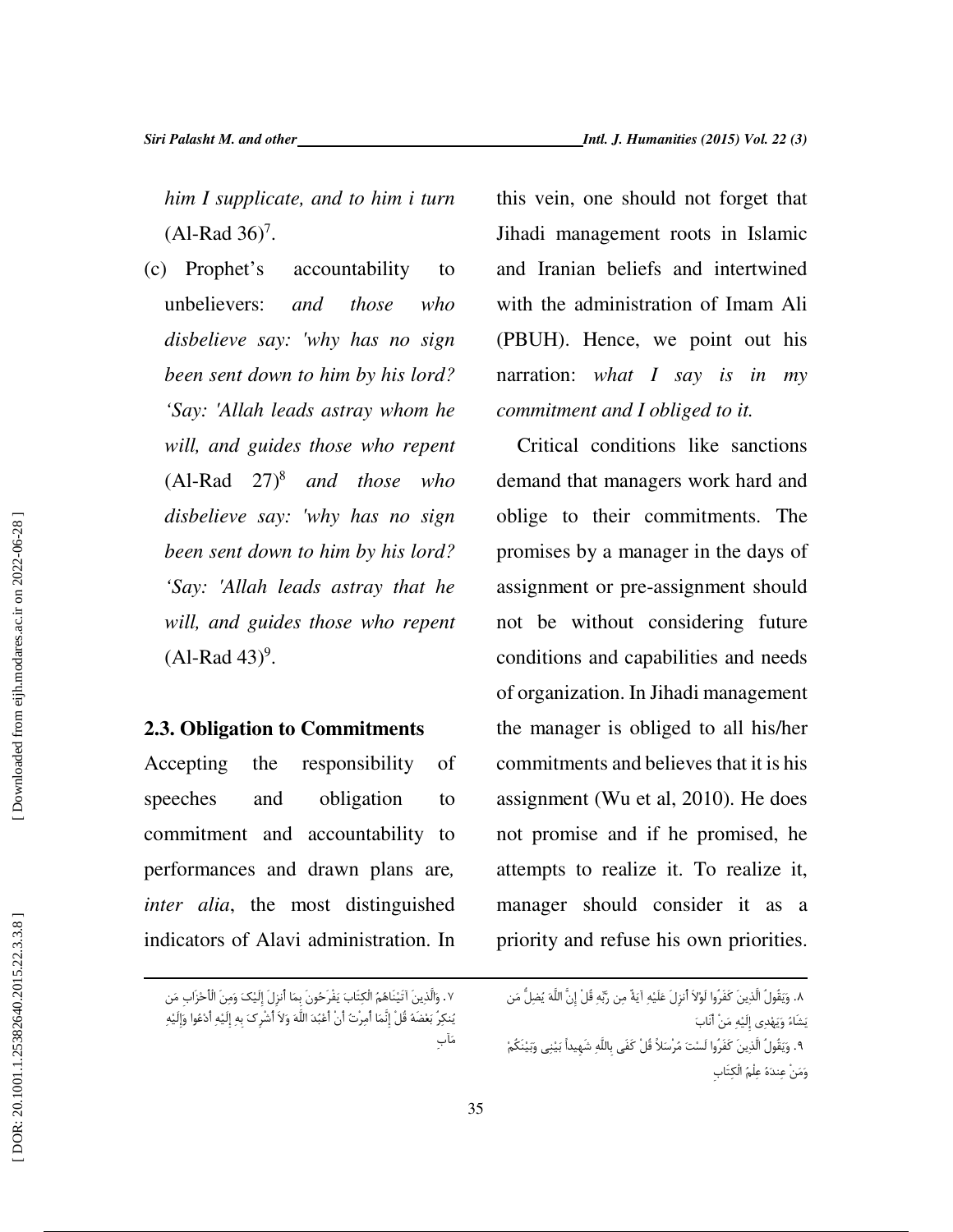*him I supplicate, and to him i turn*  $(Al\text{-}Rad 36)^7$ .

(c) Prophet's accountability to unbelievers: *and those who disbelieve say: 'why has no sign been sent down to him by his lord? 'Say: 'Allah leads astray whom he will, and guides those who repent* (Al-Rad 27) <sup>8</sup> *and those who disbelieve say: 'why has no sign been sent down to him by his lord? 'Say: 'Allah leads astray that he will, and guides those who repent*  $(Al$ -Rad 43)<sup>9</sup>.

### **2.3. Obligation to Commitments**

Accepting the responsibility of speeches and obligation to commitment and accountability to performances and drawn plans are*, inter alia*, the most distinguished indicators of Alavi administration. In

this vein, one should not forget that Jihadi management roots in Islamic and Iranian beliefs and intertwined with the administration of Imam Ali (PBUH). Hence, we point out his narration: *what I say is in my commitment and I obliged to it.* 

Critical conditions like sanctions demand that managers work hard and oblige to their commitments. The promises by a manager in the days of assignment or pre-assignment should not be without considering future conditions and capabilities and needs of organization. In Jihadi management the manager is obliged to all his/her commitments and believes that it is his assignment (Wu et al, 2010). He does not promise and if he promised, he attempts to realize it. To realize it, manager should consider it as a priority and refuse his own priorities.

 $\overline{a}$ 

٧. وَالَّذِينَ آتَيْنَاهُمُ الْكِتَابَ يَفْرَحُونَ بِمَا أُنزِلَ إِلَيْكَ وَمِنَ الْأَحْزَابِ مَنِ ينكرُ بعضَه قُلْ إِنَّما أُمرْت أَنْ أَعبد اللَّه ولاَ أُشْرِك بِه إِلَيه أَدعوا وإِلَيه مَآبِ

٨. وَيَقُولُ الَّذِينَ كَفَرُوا لَوْلاَ أُنزِلَ عَلَيْهِ آيَةٌ مِن رَّبِّهِ قُلْ إِنَّ اللَّهَ يُضِلُّ مَن يشَاء ويهدي إِلَيه منْ أَنَاب . ويقُولُ الَّذينَ كَفَرُوا لَست مرْسلاً قُلْ كَفَي بِاللَّه شَهِيداً بيني وبينَكُم 9 ومنْ عنده علْم الْكتَابِ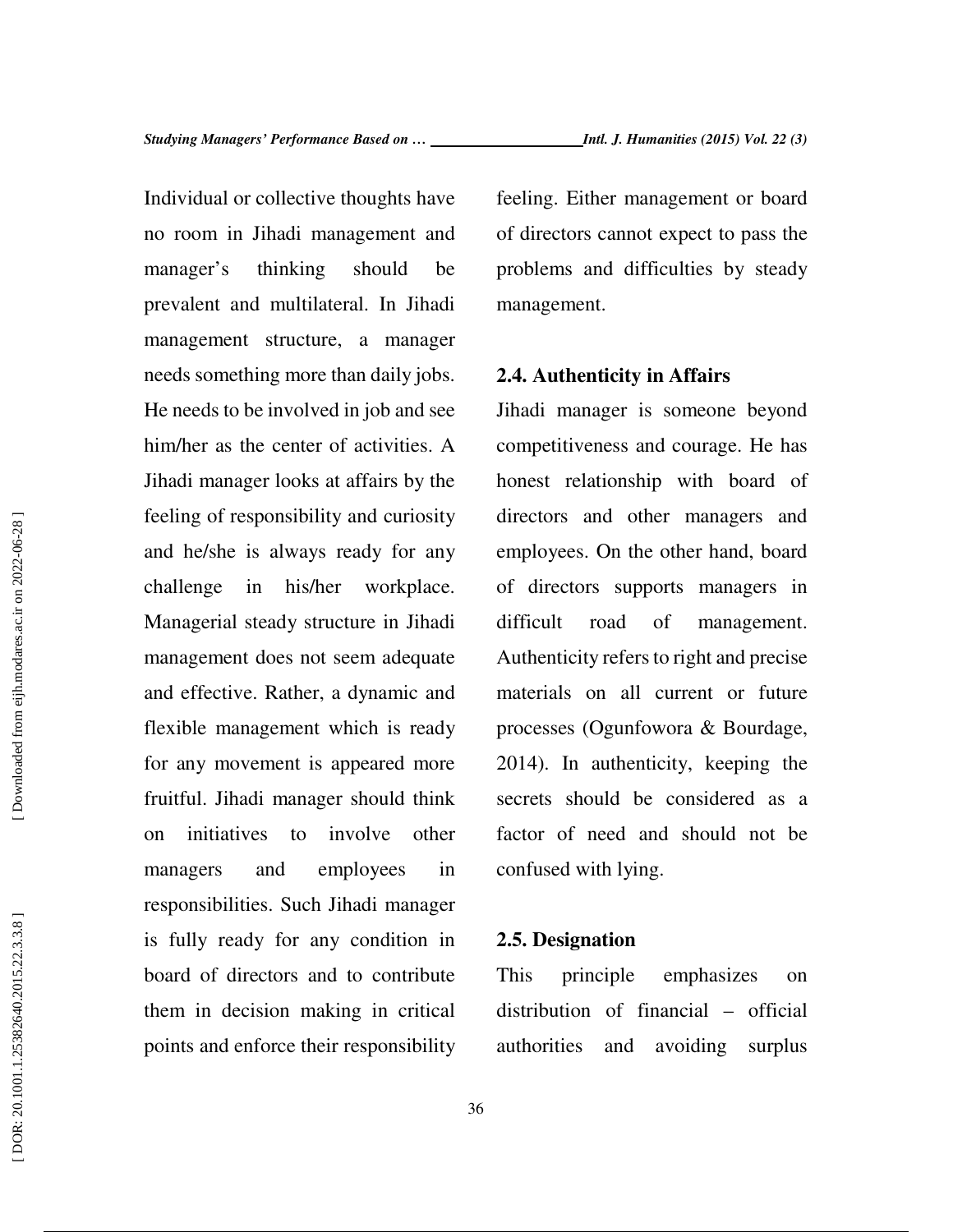Individual or collective thoughts have no room in Jihadi management and manager's thinking should be prevalent and multilateral. In Jihadi management structure, a manager needs something more than daily jobs. He needs to be involved in job and see him/her as the center of activities. A Jihadi manager looks at affairs by the feeling of responsibility and curiosity and he/she is always ready for any challenge in his/her workplace. Managerial steady structure in Jihadi management does not seem adequate and effective. Rather, a dynamic and flexible management which is ready for any movement is appeared more fruitful. Jihadi manager should think on initiatives to involve other managers and employees in responsibilities. Such Jihadi manager is fully ready for any condition in board of directors and to contribute them in decision making in critical points and enforce their responsibility feeling. Either management or board of directors cannot expect to pass the problems and difficulties by steady management.

### **2.4. Authenticity in Affairs**

Jihadi manager is someone beyond competitiveness and courage. He has honest relationship with board of directors and other managers and employees. On the other hand, board of directors supports managers in difficult road of management. Authenticity refers to right and precise materials on all current or future processes (Ogunfowora & Bourdage, 2014). In authenticity, keeping the secrets should be considered as a factor of need and should not be confused with lying.

#### **2.5. Designation**

This principle emphasizes on distribution of financial – official authorities and avoiding surplus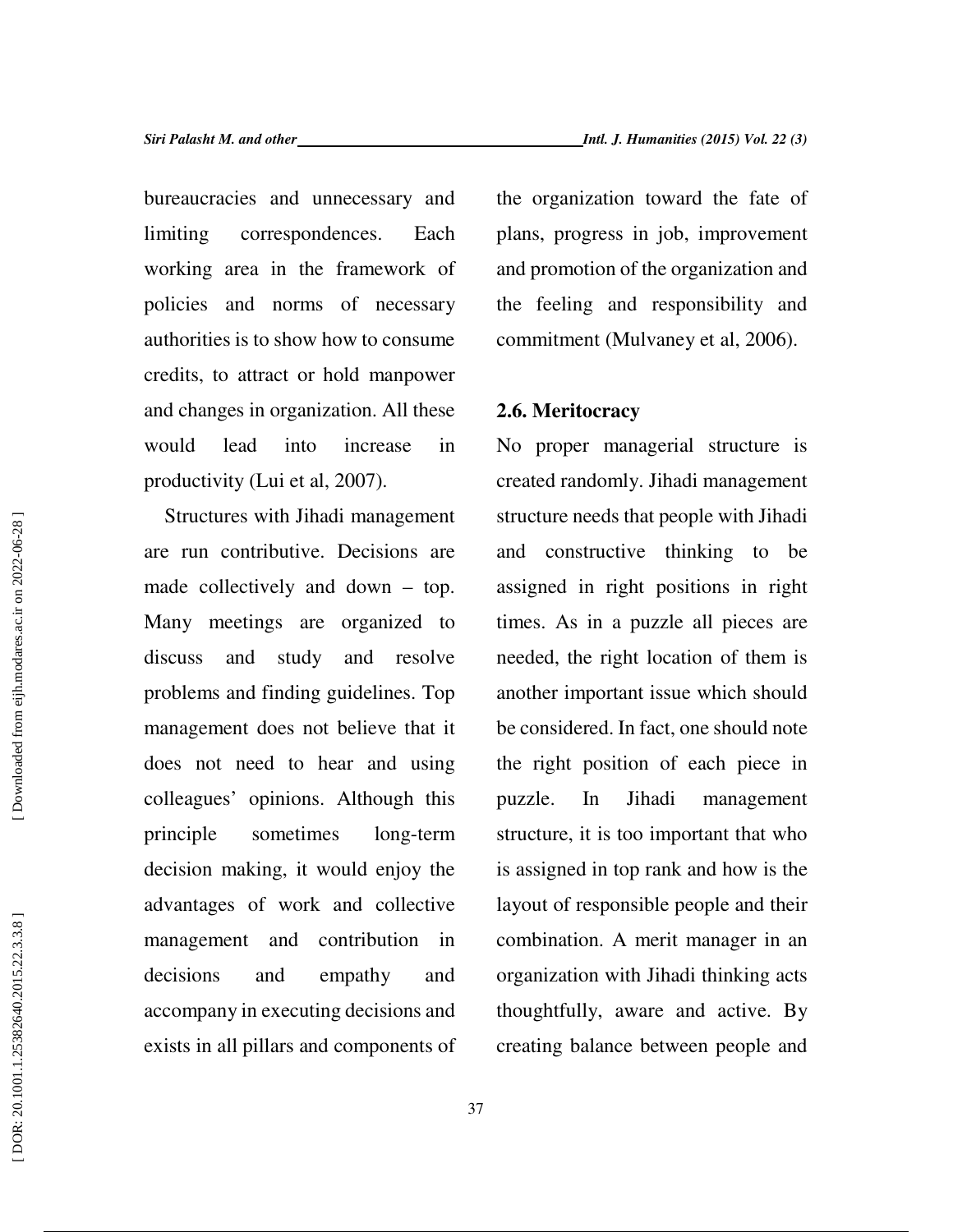bureaucracies and unnecessary and limiting correspondences. Each working area in the framework of policies and norms of necessary authorities is to show how to consume credits, to attract or hold manpower and changes in organization. All these would lead into increase in productivity (Lui et al, 2007).

Structures with Jihadi management are run contributive. Decisions are made collectively and down – top. Many meetings are organized to discuss and study and resolve problems and finding guidelines. Top management does not believe that it does not need to hear and using colleagues' opinions. Although this principle sometimes long-term decision making, it would enjoy the advantages of work and collective management and contribution in decisions and empathy and accompany in executing decisions and exists in all pillars and components of the organization toward the fate of plans, progress in job, improvement and promotion of the organization and the feeling and responsibility and commitment (Mulvaney et al, 2006).

#### **2.6. Meritocracy**

No proper managerial structure is created randomly. Jihadi management structure needs that people with Jihadi and constructive thinking to be assigned in right positions in right times. As in a puzzle all pieces are needed, the right location of them is another important issue which should be considered. In fact, one should note the right position of each piece in puzzle. In Jihadi management structure, it is too important that who is assigned in top rank and how is the layout of responsible people and their combination. A merit manager in an organization with Jihadi thinking acts thoughtfully, aware and active. By creating balance between people and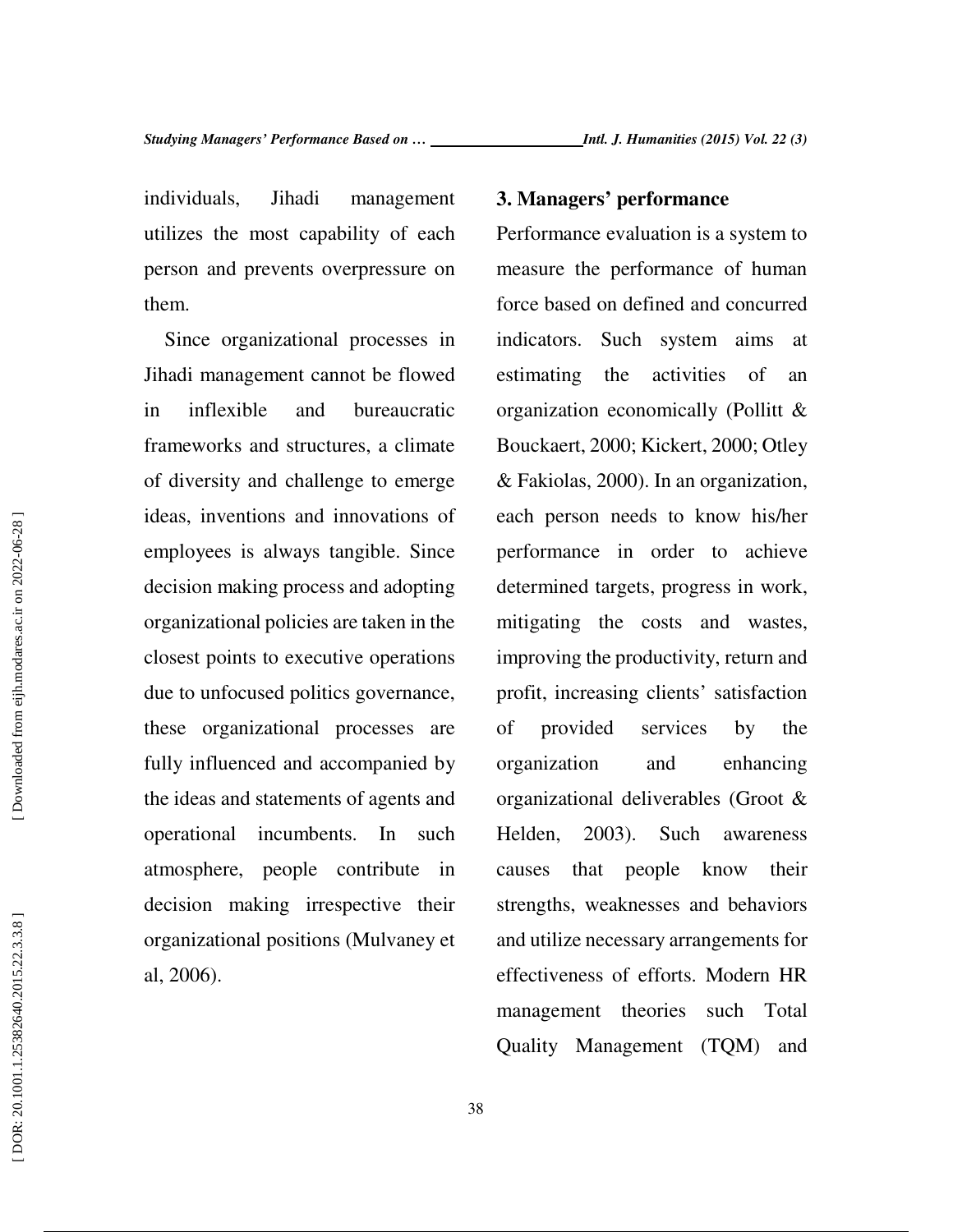individuals, Jihadi management utilizes the most capability of each person and prevents overpressure on them.

Since organizational processes in Jihadi management cannot be flowed in inflexible and bureaucratic frameworks and structures, a climate of diversity and challenge to emerge ideas, inventions and innovations of employees is always tangible. Since decision making process and adopting organizational policies are taken in the closest points to executive operations due to unfocused politics governance, these organizational processes are fully influenced and accompanied by the ideas and statements of agents and operational incumbents. In such atmosphere, people contribute in decision making irrespective their organizational positions (Mulvaney et al, 2006).

#### **3. Managers' performance**

Performance evaluation is a system to measure the performance of human force based on defined and concurred indicators. Such system aims at estimating the activities of an organization economically (Pollitt & Bouckaert, 2000; Kickert, 2000; Otley & Fakiolas, 2000). In an organization, each person needs to know his/her performance in order to achieve determined targets, progress in work, mitigating the costs and wastes, improving the productivity, return and profit, increasing clients' satisfaction of provided services by the organization and enhancing organizational deliverables (Groot & Helden, 2003). Such awareness causes that people know their strengths, weaknesses and behaviors and utilize necessary arrangements for effectiveness of efforts. Modern HR management theories such Total Quality Management (TQM) and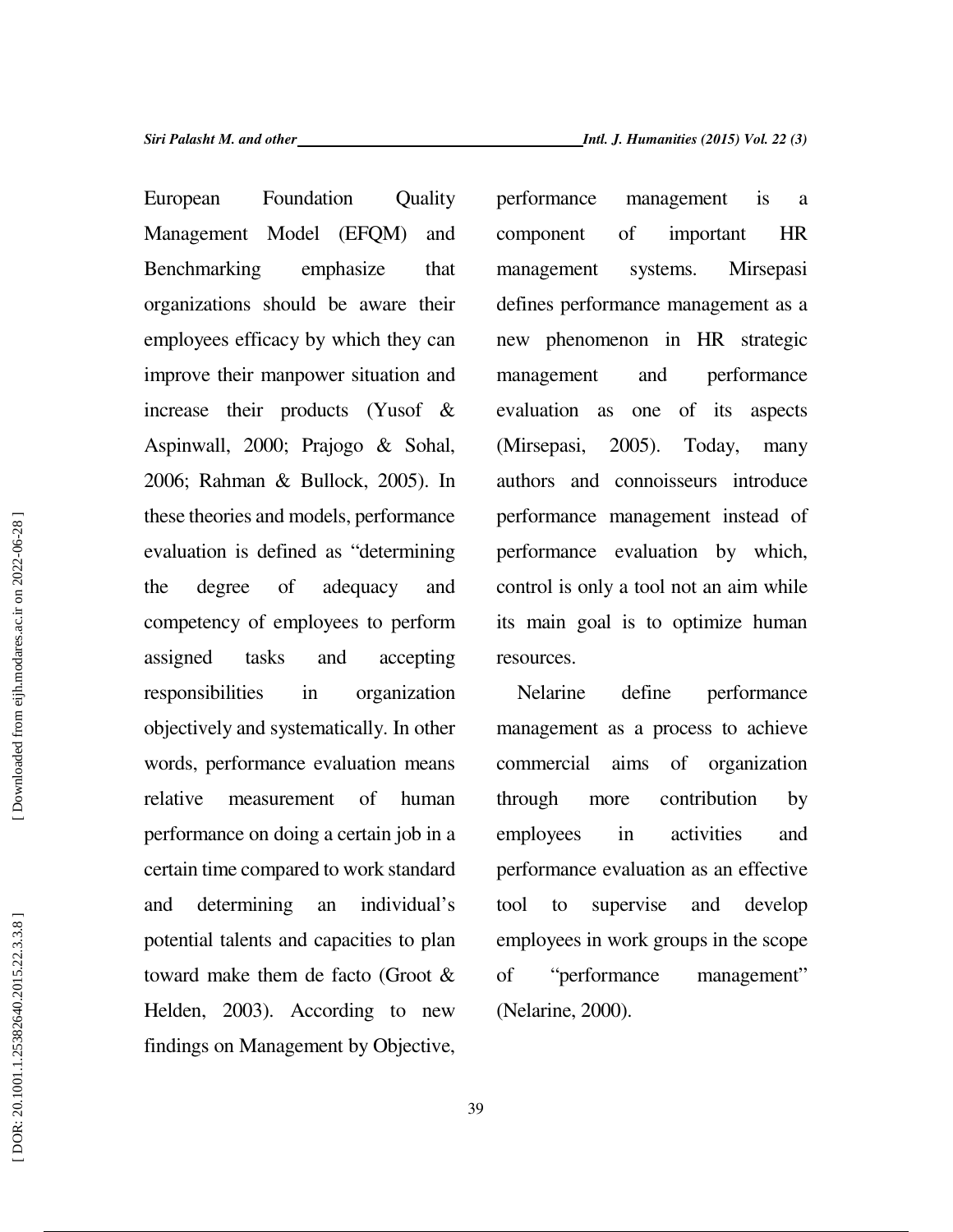European Foundation Quality Management Model (EFQM) and Benchmarking emphasize that organizations should be aware their employees efficacy by which they can improve their manpower situation and increase their products (Yusof & Aspinwall, 2000; Prajogo & Sohal, 2006; Rahman & Bullock, 2005). In these theories and models, performance evaluation is defined as "determining the degree of adequacy and competency of employees to perform assigned tasks and accepting responsibilities in organization objectively and systematically. In other words, performance evaluation means relative measurement of human performance on doing a certain job in a certain time compared to work standard and determining an individual's potential talents and capacities to plan toward make them de facto (Groot & Helden, 2003). According to new findings on Management by Objective,

performance management is a component of important HR management systems. Mirsepasi defines performance management as a new phenomenon in HR strategic management and performance evaluation as one of its aspects (Mirsepasi, 2005). Today, many authors and connoisseurs introduce performance management instead of performance evaluation by which, control is only a tool not an aim while its main goal is to optimize human resources.

Nelarine define performance management as a process to achieve commercial aims of organization through more contribution by employees in activities and performance evaluation as an effective tool to supervise and develop employees in work groups in the scope of "performance management" (Nelarine, 2000).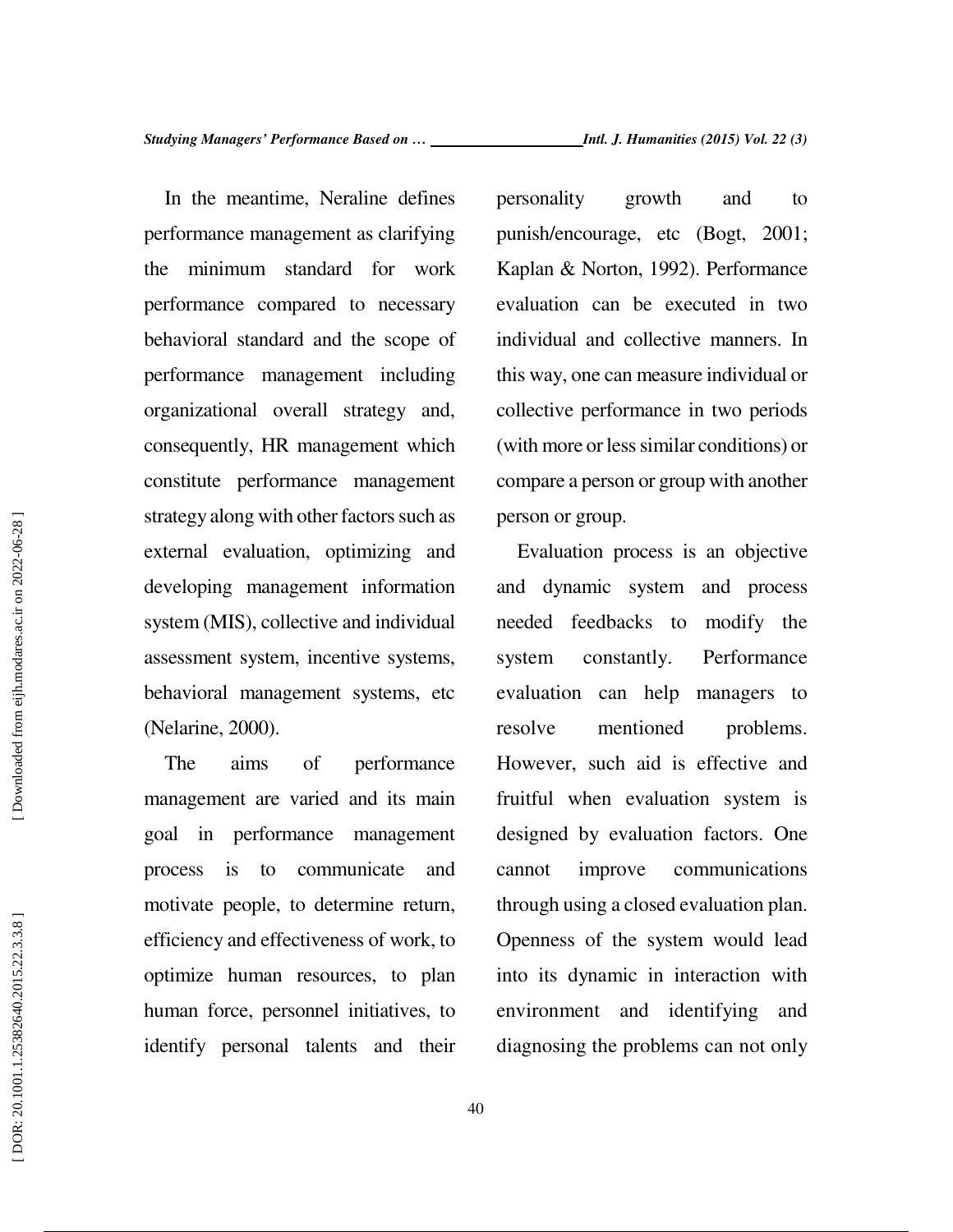[\[ DOR: 20.1001.1.25382640.2015.22.3.3.8](https://dorl.net/dor/20.1001.1.25382640.2015.22.3.3.8) ] [\[ Downloaded from eijh.modares.ac.ir on 2](https://eijh.modares.ac.ir/article-27-3223-en.html)022-06-28 ] Downloaded from eijh.modares.ac.ir on 2022-06-28

In the meantime, Neraline defines performance management as clarifying the minimum standard for work performance compared to necessary behavioral standard and the scope of performance management including organizational overall strategy and, consequently, HR management which constitute performance management strategy along with other factors such as external evaluation, optimizing and developing management information system (MIS), collective and individual assessment system, incentive systems, behavioral management systems, etc (Nelarine, 2000).

The aims of performance management are varied and its main goal in performance management process is to communicate and motivate people, to determine return, efficiency and effectiveness of work, to optimize human resources, to plan human force, personnel initiatives, to identify personal talents and their personality growth and to punish/encourage, etc (Bogt, 2001; Kaplan & Norton, 1992). Performance evaluation can be executed in two individual and collective manners. In this way, one can measure individual or collective performance in two periods (with more or less similar conditions) or compare a person or group with another person or group.

Evaluation process is an objective and dynamic system and process needed feedbacks to modify the system constantly. Performance evaluation can help managers to resolve mentioned problems. However, such aid is effective and fruitful when evaluation system is designed by evaluation factors. One cannot improve communications through using a closed evaluation plan. Openness of the system would lead into its dynamic in interaction with environment and identifying and diagnosing the problems can not only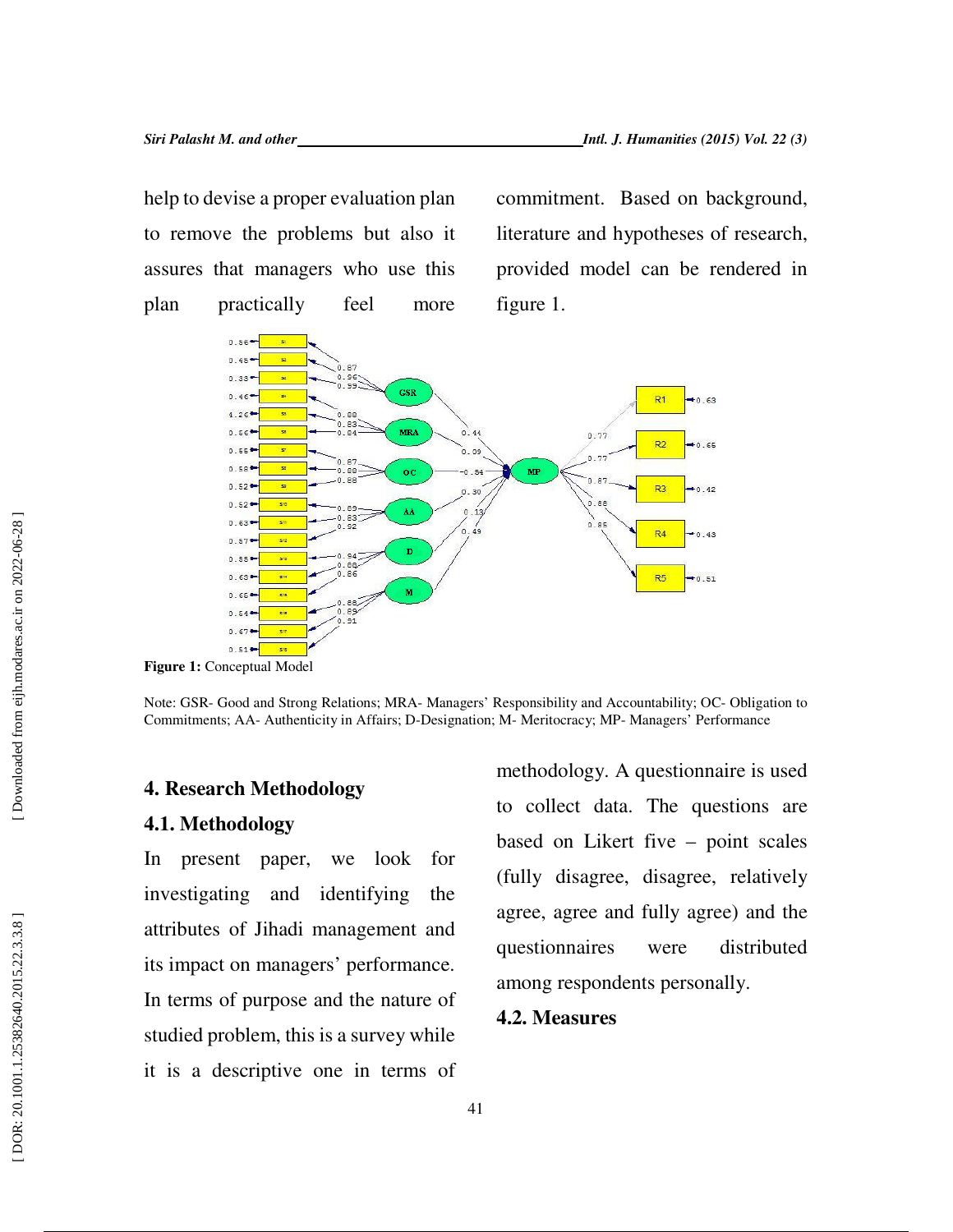help to devise a proper evaluation plan to remove the problems but also it assures that managers who use this plan practically feel more

commitment. Based on background, literature and hypotheses of research, provided model can be rendered in figure 1.



**Figure 1:** Conceptual Model

Note: GSR- Good and Strong Relations; MRA- Managers' Responsibility and Accountability; OC- Obligation to Commitments; AA- Authenticity in Affairs; D-Designation; M- Meritocracy; MP- Managers' Performance

#### **4. Research Methodology**

### **4.1. Methodology**

In present paper, we look for investigating and identifying the attributes of Jihadi management and its impact on managers' performance. In terms of purpose and the nature of studied problem, this is a survey while it is a descriptive one in terms of

methodology. A questionnaire is used to collect data. The questions are based on Likert five – point scales (fully disagree, disagree, relatively agree, agree and fully agree) and the questionnaires were distributed among respondents personally.

### **4.2. Measures**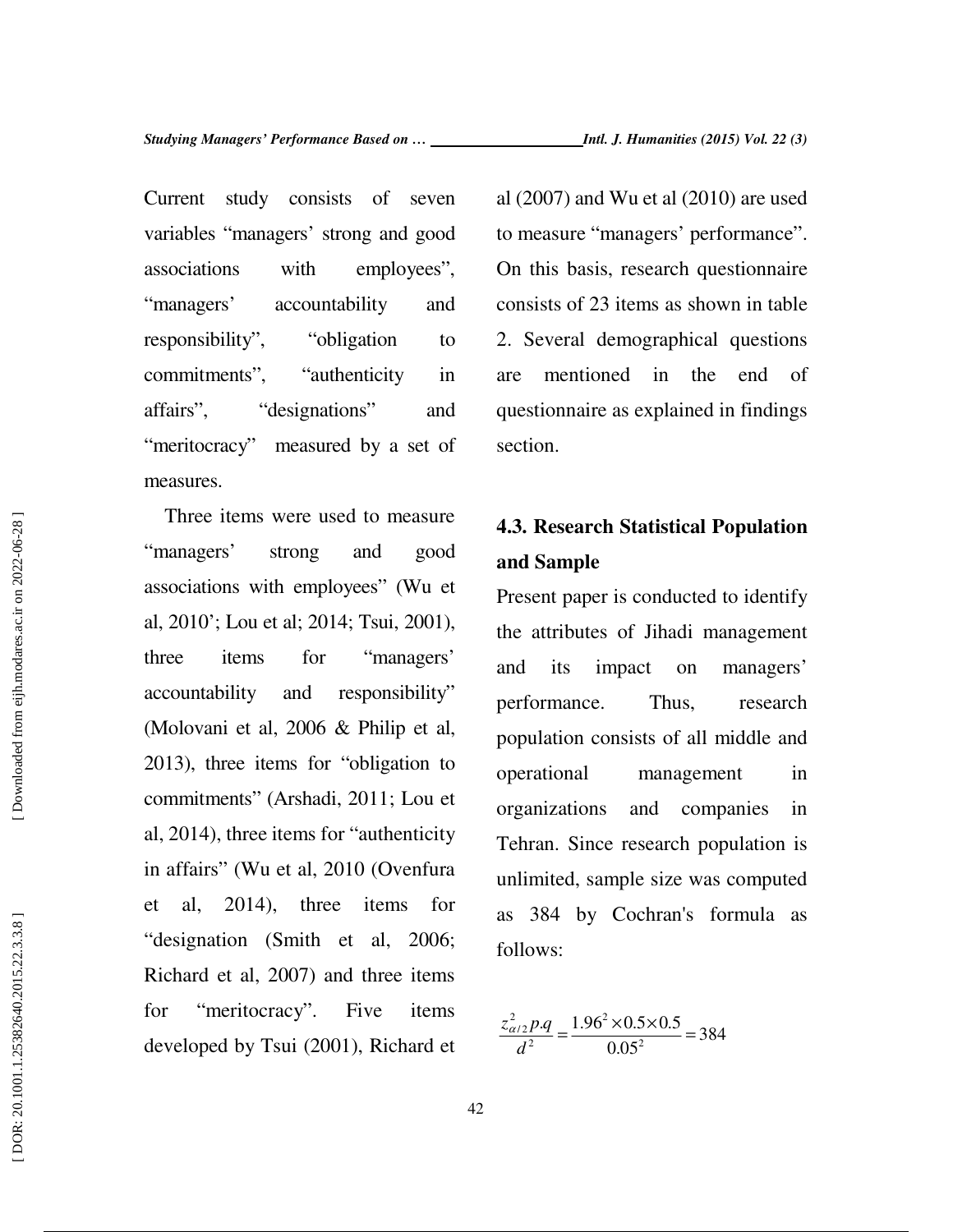Current study consists of seven variables "managers' strong and good associations with employees", "managers' accountability and responsibility", "obligation to commitments", "authenticity in affairs", "designations" and "meritocracy" measured by a set of measures.

Three items were used to measure "managers' strong and good associations with employees" (Wu et al, 2010'; Lou et al; 2014; Tsui, 2001), three items for "managers' accountability and responsibility" (Molovani et al, 2006 & Philip et al, 2013), three items for "obligation to commitments" (Arshadi, 2011; Lou et al, 2014), three items for "authenticity in affairs" (Wu et al, 2010 (Ovenfura et al, 2014), three items for "designation (Smith et al, 2006; Richard et al, 2007) and three items for "meritocracy". Five items developed by Tsui (2001), Richard et al (2007) and Wu et al (2010) are used to measure "managers' performance". On this basis, research questionnaire consists of 23 items as shown in table 2. Several demographical questions

are mentioned in the end of questionnaire as explained in findings section.

## **4.3. Research Statistical Population and Sample**

Present paper is conducted to identify the attributes of Jihadi management and its impact on managers' performance. Thus, research population consists of all middle and operational management in organizations and companies in Tehran. Since research population is unlimited, sample size was computed as 384 by Cochran's formula as follows:

$$
\frac{z_{\alpha/2}^2 p.q}{d^2} = \frac{1.96^2 \times 0.5 \times 0.5}{0.05^2} = 384
$$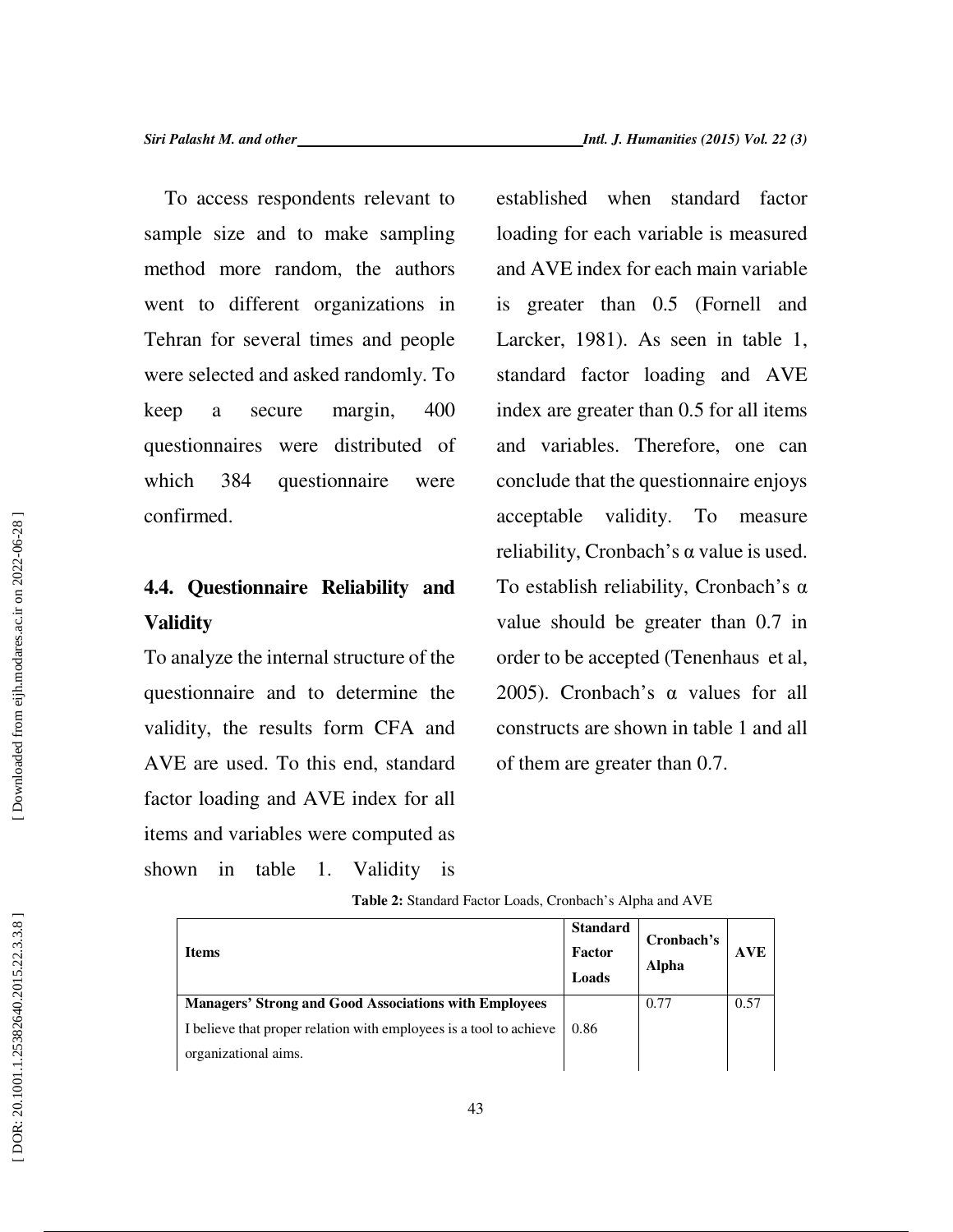To access respondents relevant to sample size and to make sampling method more random, the authors went to different organizations in Tehran for several times and people were selected and asked randomly. To keep a secure margin, 400 questionnaires were distributed of which 384 questionnaire were confirmed.

## **4.4. Questionnaire Reliability and Validity**

To analyze the internal structure of the questionnaire and to determine the validity, the results form CFA and AVE are used. To this end, standard factor loading and AVE index for all items and variables were computed as shown in table 1. Validity is established when standard factor loading for each variable is measured and AVE index for each main variable is greater than 0.5 (Fornell and Larcker, 1981). As seen in table 1, standard factor loading and AVE index are greater than 0.5 for all items and variables. Therefore, one can conclude that the questionnaire enjoys acceptable validity. To measure reliability, Cronbach's α value is used. To establish reliability, Cronbach's α value should be greater than 0.7 in order to be accepted (Tenenhaus et al, 2005). Cronbach's α values for all constructs are shown in table 1 and all of them are greater than 0.7.

| <b>Items</b>                                                       | <b>Standard</b><br>Factor<br>Loads | Cronbach's<br>Alpha | <b>AVE</b> |
|--------------------------------------------------------------------|------------------------------------|---------------------|------------|
| <b>Managers' Strong and Good Associations with Employees</b>       |                                    | 0.77                | 0.57       |
| I believe that proper relation with employees is a tool to achieve | 0.86                               |                     |            |
| organizational aims.                                               |                                    |                     |            |

**Table 2:** Standard Factor Loads, Cronbach's Alpha and AVE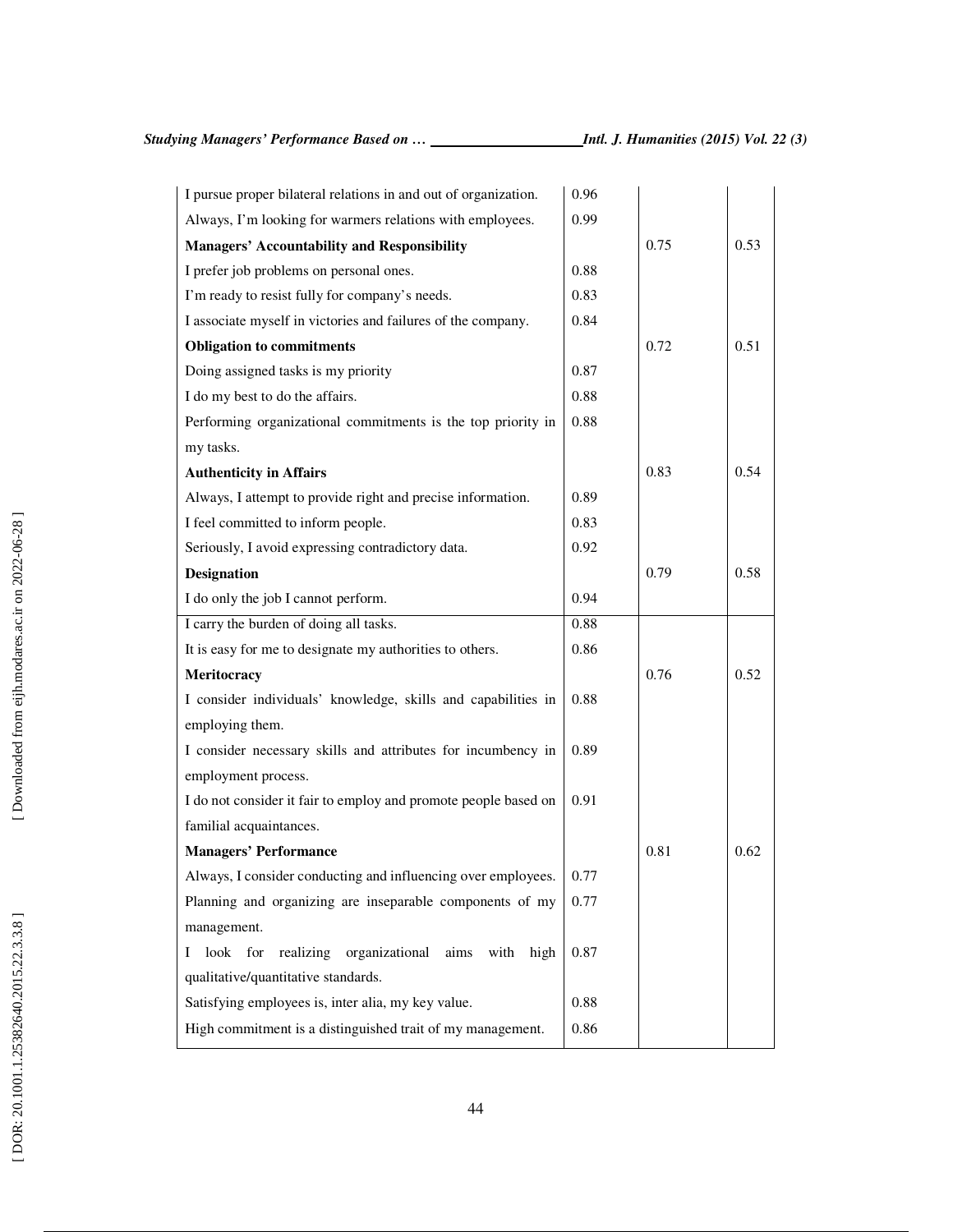| I pursue proper bilateral relations in and out of organization.       | 0.96 |      |      |
|-----------------------------------------------------------------------|------|------|------|
| Always, I'm looking for warmers relations with employees.             | 0.99 |      |      |
| <b>Managers' Accountability and Responsibility</b>                    |      | 0.75 | 0.53 |
| I prefer job problems on personal ones.                               | 0.88 |      |      |
| I'm ready to resist fully for company's needs.                        | 0.83 |      |      |
| I associate myself in victories and failures of the company.          | 0.84 |      |      |
| <b>Obligation to commitments</b>                                      |      | 0.72 | 0.51 |
| Doing assigned tasks is my priority                                   | 0.87 |      |      |
| I do my best to do the affairs.                                       | 0.88 |      |      |
| Performing organizational commitments is the top priority in          | 0.88 |      |      |
| my tasks.                                                             |      |      |      |
| <b>Authenticity in Affairs</b>                                        |      | 0.83 | 0.54 |
| Always, I attempt to provide right and precise information.           | 0.89 |      |      |
| I feel committed to inform people.                                    | 0.83 |      |      |
| Seriously, I avoid expressing contradictory data.                     | 0.92 |      |      |
| <b>Designation</b>                                                    |      | 0.79 | 0.58 |
| I do only the job I cannot perform.                                   | 0.94 |      |      |
| I carry the burden of doing all tasks.                                | 0.88 |      |      |
| It is easy for me to designate my authorities to others.              | 0.86 |      |      |
| Meritocracy                                                           |      | 0.76 | 0.52 |
| I consider individuals' knowledge, skills and capabilities in         | 0.88 |      |      |
| employing them.                                                       |      |      |      |
| I consider necessary skills and attributes for incumbency in          | 0.89 |      |      |
| employment process.                                                   |      |      |      |
| I do not consider it fair to employ and promote people based on       | 0.91 |      |      |
| familial acquaintances.                                               |      |      |      |
| <b>Managers' Performance</b>                                          |      | 0.81 | 0.62 |
| Always, I consider conducting and influencing over employees.         | 0.77 |      |      |
| Planning and organizing are inseparable components of my              | 0.77 |      |      |
| management.                                                           |      |      |      |
| realizing organizational aims<br>look<br>for<br>with high<br>$\bf{l}$ | 0.87 |      |      |
| qualitative/quantitative standards.                                   |      |      |      |
| Satisfying employees is, inter alia, my key value.                    | 0.88 |      |      |
| High commitment is a distinguished trait of my management.            | 0.86 |      |      |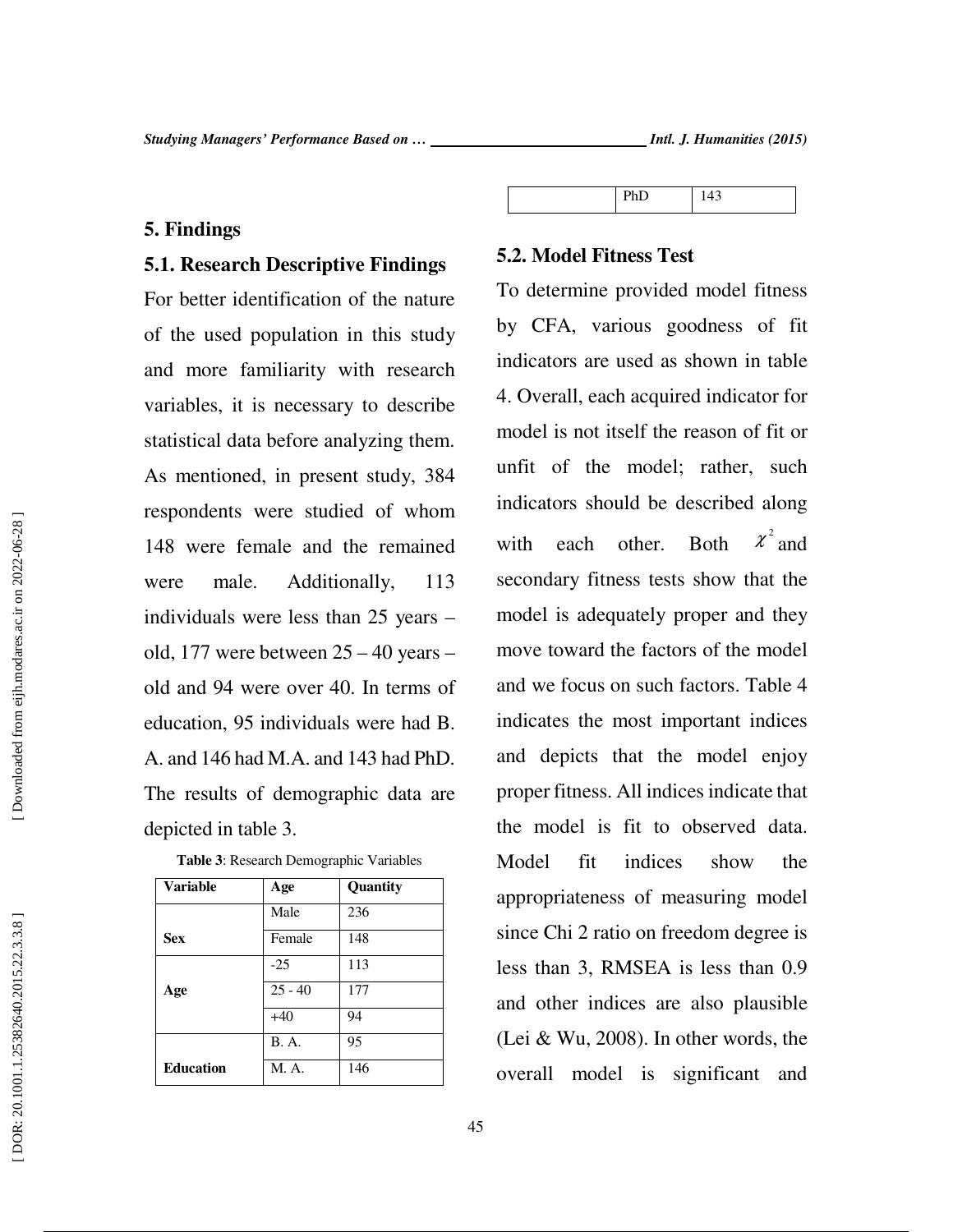#### **5. Findings**

#### **5.1. Research Descriptive Findings**

For better identification of the nature of the used population in this study and more familiarity with research variables, it is necessary to describe statistical data before analyzing them. As mentioned, in present study, 384 respondents were studied of whom 148 were female and the remained were male. Additionally, 113 individuals were less than 25 years – old, 177 were between 25 – 40 years – old and 94 were over 40. In terms of education, 95 individuals were had B. A. and 146 had M.A. and 143 had PhD. The results of demographic data are depicted in table 3.

|  |  | Table 3: Research Demographic Variables |  |  |
|--|--|-----------------------------------------|--|--|
|--|--|-----------------------------------------|--|--|

| <b>Variable</b>  | Age         | <b>Quantity</b> |
|------------------|-------------|-----------------|
|                  | Male        | 236             |
| <b>Sex</b>       | Female      | 148             |
|                  | $-25$       | 113             |
| Age              | $25 - 40$   | 177             |
|                  | $+40$       | 94              |
|                  | <b>B.A.</b> | 95              |
| <b>Education</b> | M. A.       | 146             |

#### **5.2. Model Fitness Test**

To determine provided model fitness by CFA, various goodness of fit indicators are used as shown in table 4. Overall, each acquired indicator for model is not itself the reason of fit or unfit of the model; rather, such indicators should be described along with each other. Both  $\chi^2$  and secondary fitness tests show that the model is adequately proper and they move toward the factors of the model and we focus on such factors. Table 4 indicates the most important indices and depicts that the model enjoy proper fitness. All indices indicate that the model is fit to observed data. Model fit indices show the appropriateness of measuring model since Chi 2 ratio on freedom degree is less than 3, RMSEA is less than 0.9 and other indices are also plausible (Lei & Wu, 2008). In other words, the overall model is significant and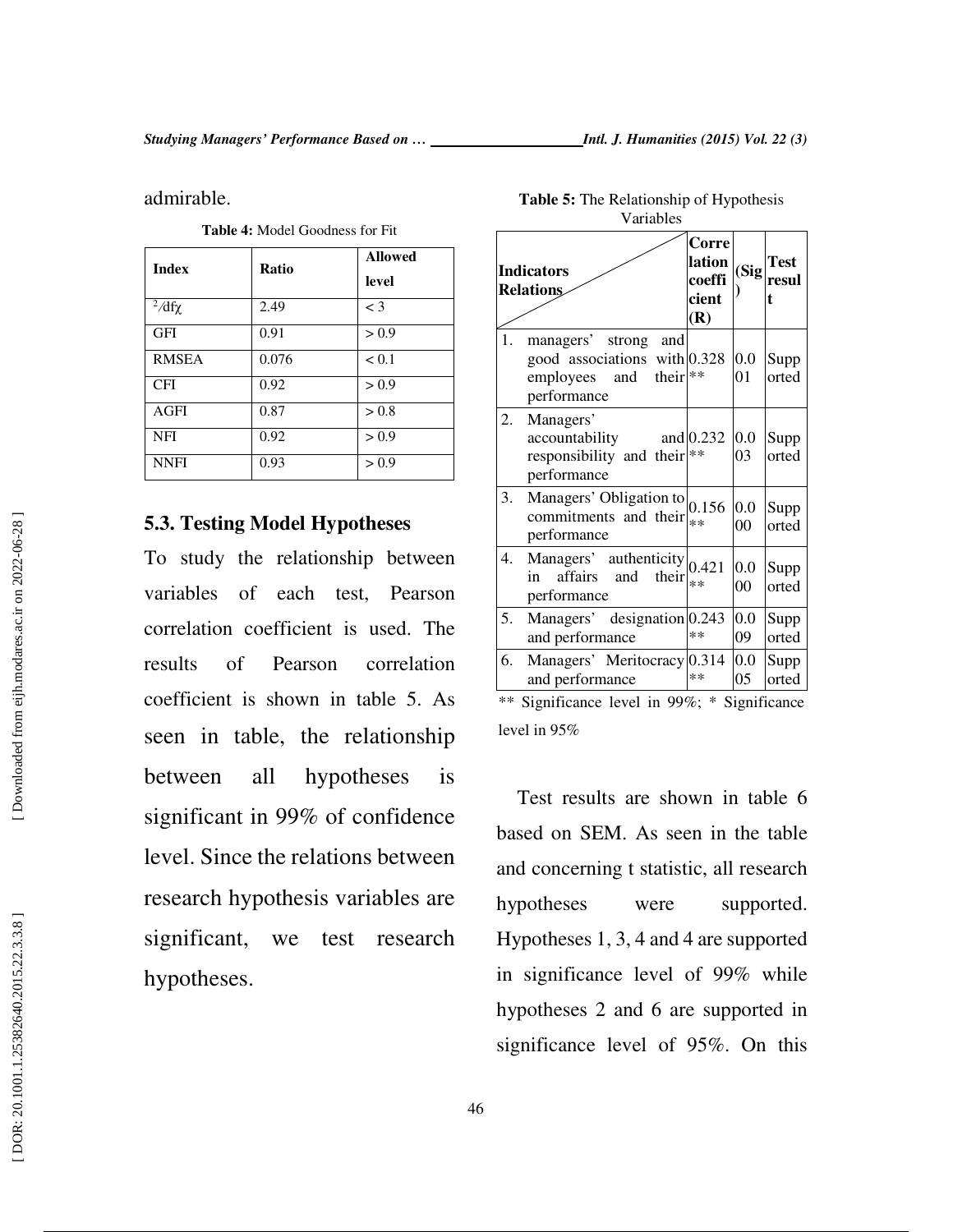#### admirable.

| <b>Index</b>             | Ratio | <b>Allowed</b><br>level |
|--------------------------|-------|-------------------------|
| $\frac{1}{2}$ /df $\chi$ | 2.49  | $\leq$ 3                |
| <b>GFI</b>               | 0.91  | > 0.9                   |
| <b>RMSEA</b>             | 0.076 | < 0.1                   |
| <b>CFI</b>               | 0.92  | > 0.9                   |
| <b>AGFI</b>              | 0.87  | > 0.8                   |
| <b>NFI</b>               | 0.92  | > 0.9                   |
| <b>NNFI</b>              | 0.93  | > 0.9                   |

**Table 4:** Model Goodness for Fit

### **5.3. Testing Model Hypotheses**

To study the relationship between variables of each test, Pearson correlation coefficient is used. The results of Pearson correlation coefficient is shown in table 5. As seen in table, the relationship between all hypotheses is significant in 99% of confidence level. Since the relations between research hypothesis variables are significant, we test research hypotheses.

| Variables                                                                                              |                                           |                       |                            |
|--------------------------------------------------------------------------------------------------------|-------------------------------------------|-----------------------|----------------------------|
| <b>Indicators</b><br><b>Relations</b>                                                                  | Corre<br>lation<br>coeffi<br>cient<br>(R) | (Sig                  | <b>Test</b><br>resul<br>t. |
| 1.<br>managers' strong<br>and<br>good associations with 0.328<br>their<br>employees and<br>performance | $\ast\ast$                                | 0.0<br>01             | Supp<br>orted              |
| Managers'<br>2.<br>accountability<br>responsibility and their<br>performance                           | and $0.232$<br>$**$                       | 0.0<br>03             | Supp<br>orted              |
| 3.<br>Managers' Obligation to<br>commitments and their<br>performance                                  | 0.156<br>$**$                             | 0.0<br>$00\,$         | Supp<br>orted              |
| 4.<br>Managers' authenticity<br>in affairs<br>and<br>their<br>performance                              | 0.421<br>**                               | 0.0<br>0 <sup>0</sup> | Supp<br>orted              |
| 5.<br>Managers' designation 0.243<br>and performance                                                   | $**$                                      | 0.0<br>09             | Supp<br>orted              |
| 6.<br>Managers' Meritocracy 0.314<br>and performance                                                   | $**$                                      | 0.0<br>05             | Supp<br>orted              |
| $**$<br>Significance level in 99%; * Significance<br>$\cdots$                                          |                                           |                       |                            |

**Table 5:** The Relationship of Hypothesis

level in 95%

Test results are shown in table 6 based on SEM. As seen in the table and concerning t statistic, all research hypotheses were supported. Hypotheses 1, 3, 4 and 4 are supported in significance level of 99% while hypotheses 2 and 6 are supported in significance level of 95%. On this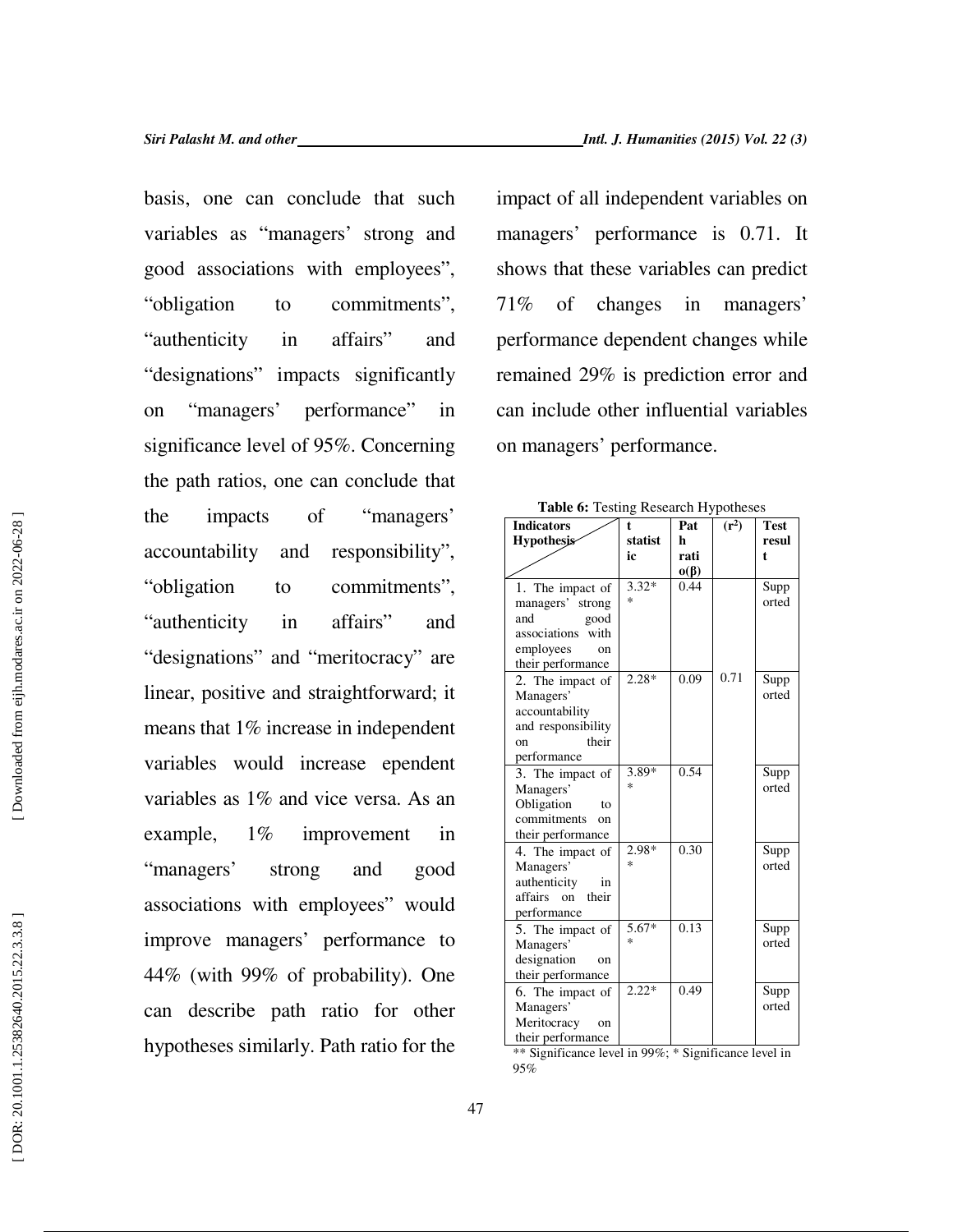basis, one can conclude that such variables as "managers' strong and good associations with employees", "obligation to commitments", "authenticity in affairs" and "designations" impacts significantly on "managers' performance" in significance level of 95%. Concerning the path ratios, one can conclude that the impacts of "managers' accountability and responsibility", "obligation to commitments", "authenticity in affairs" and "designations" and "meritocracy" are linear, positive and straightforward; it means that 1% increase in independent variables would increase ependent variables as 1% and vice versa. As an example, 1% improvement in "managers' strong and good associations with employees" would improve managers' performance to 44% (with 99% of probability). One can describe path ratio for other hypotheses similarly. Path ratio for the

impact of all independent variables on managers' performance is 0.71. It shows that these variables can predict 71% of changes in managers' performance dependent changes while remained 29% is prediction error and can include other influential variables on managers' performance.

| <b>Indicators</b>            | t       | Pat        | $(r^2)$ | <b>Test</b> |
|------------------------------|---------|------------|---------|-------------|
| <b>Hypothesis</b>            | statist | h          |         | resul       |
|                              | ic      | rati       |         | t.          |
|                              |         | $o(\beta)$ |         |             |
| 1. The impact of             | $3.32*$ | 0.44       |         | Supp        |
| managers'<br>strong          | ×.      |            |         | orted       |
| and<br>good                  |         |            |         |             |
| associations<br>with         |         |            |         |             |
| employees<br><sub>on</sub>   |         |            |         |             |
| their performance            |         |            |         |             |
| 2. The impact of             | $2.28*$ | 0.09       | 0.71    | Supp        |
| Managers'                    |         |            |         | orted       |
| accountability               |         |            |         |             |
| and responsibility           |         |            |         |             |
| their<br>on                  |         |            |         |             |
| performance                  |         |            |         |             |
| 3. The impact of             | 3.89*   | 0.54       |         | Supp        |
| Managers'                    | ×.      |            |         | orted       |
| Obligation<br>to             |         |            |         |             |
| commitments<br><sub>on</sub> |         |            |         |             |
| their performance            |         |            |         |             |
| 4. The impact of             | 2.98*   | 0.30       |         | Supp        |
| Managers'                    | ×.      |            |         | orted       |
| authenticity<br>in           |         |            |         |             |
| affairs<br>their<br>$\alpha$ |         |            |         |             |
| performance                  |         |            |         |             |
| 5. The impact of             | 5.67*   | 0.13       |         | Supp        |
| Managers'                    | $\ast$  |            |         | orted       |
| designation<br>on            |         |            |         |             |
| their performance            |         |            |         |             |
| 6. The impact of             | $2.22*$ | 0.49       |         | Supp        |
| Managers'                    |         |            |         | orted       |
| Meritocracy<br>on            |         |            |         |             |
| their performance            |         |            |         |             |

**Table 6:** Testing Research Hypotheses

\*\* Significance level in 99%; \* Significance level in 95%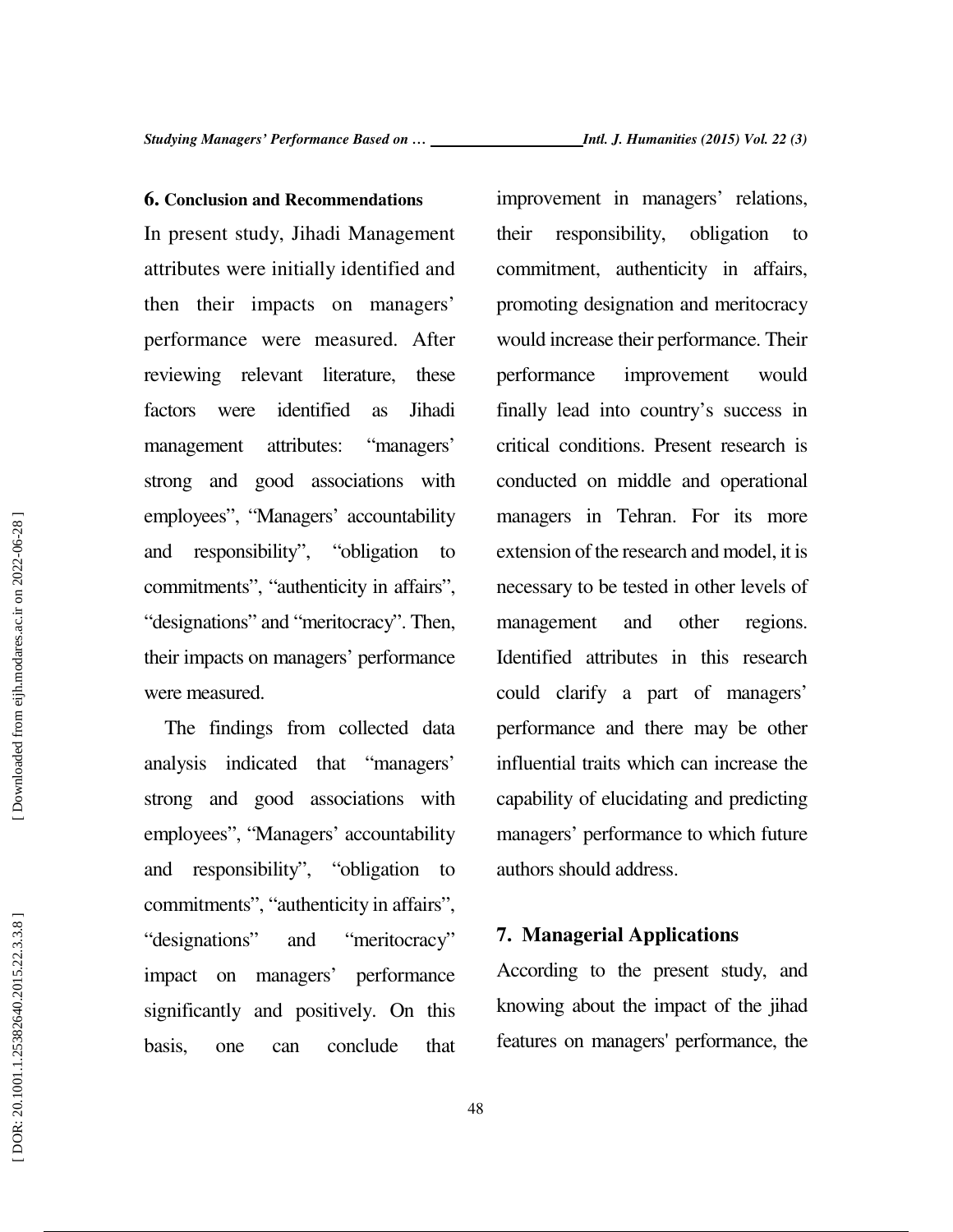#### **6. Conclusion and Recommendations**

In present study, Jihadi Management attributes were initially identified and then their impacts on managers' performance were measured. After reviewing relevant literature, these factors were identified as Jihadi management attributes: "managers' strong and good associations with employees", "Managers' accountability and responsibility", "obligation to commitments", "authenticity in affairs", "designations" and "meritocracy". Then, their impacts on managers' performance were measured.

The findings from collected data analysis indicated that "managers' strong and good associations with employees", "Managers' accountability and responsibility", "obligation to commitments", "authenticity in affairs", "designations" and "meritocracy" impact on managers' performance significantly and positively. On this basis, one can conclude that improvement in managers' relations, their responsibility, obligation to commitment, authenticity in affairs, promoting designation and meritocracy would increase their performance. Their performance improvement would finally lead into country's success in critical conditions. Present research is conducted on middle and operational managers in Tehran. For its more extension of the research and model, it is necessary to be tested in other levels of management and other regions. Identified attributes in this research could clarify a part of managers' performance and there may be other influential traits which can increase the capability of elucidating and predicting managers' performance to which future authors should address.

#### **7. Managerial Applications**

According to the present study, and knowing about the impact of the jihad features on managers' performance, the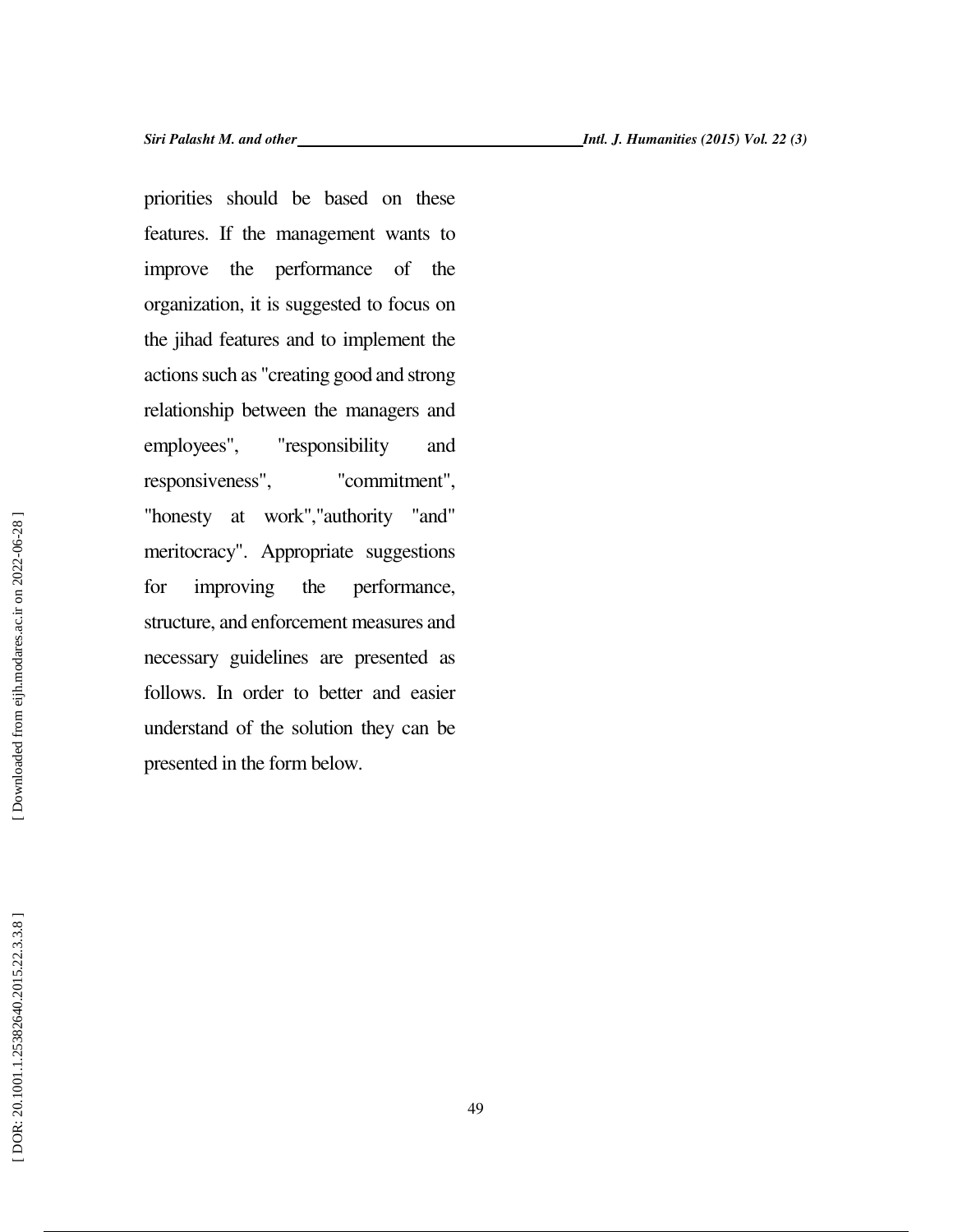priorities should be based on these features. If the management wants to improve the performance of the organization, it is suggested to focus on the jihad features and to implement the actions such as "creating good and strong relationship between the managers and employees", "responsibility and responsiveness", "commitment", "honesty at work","authority "and" meritocracy". Appropriate suggestions for improving the performance, structure, and enforcement measures and necessary guidelines are presented as follows. In order to better and easier understand of the solution they can be presented in the form below.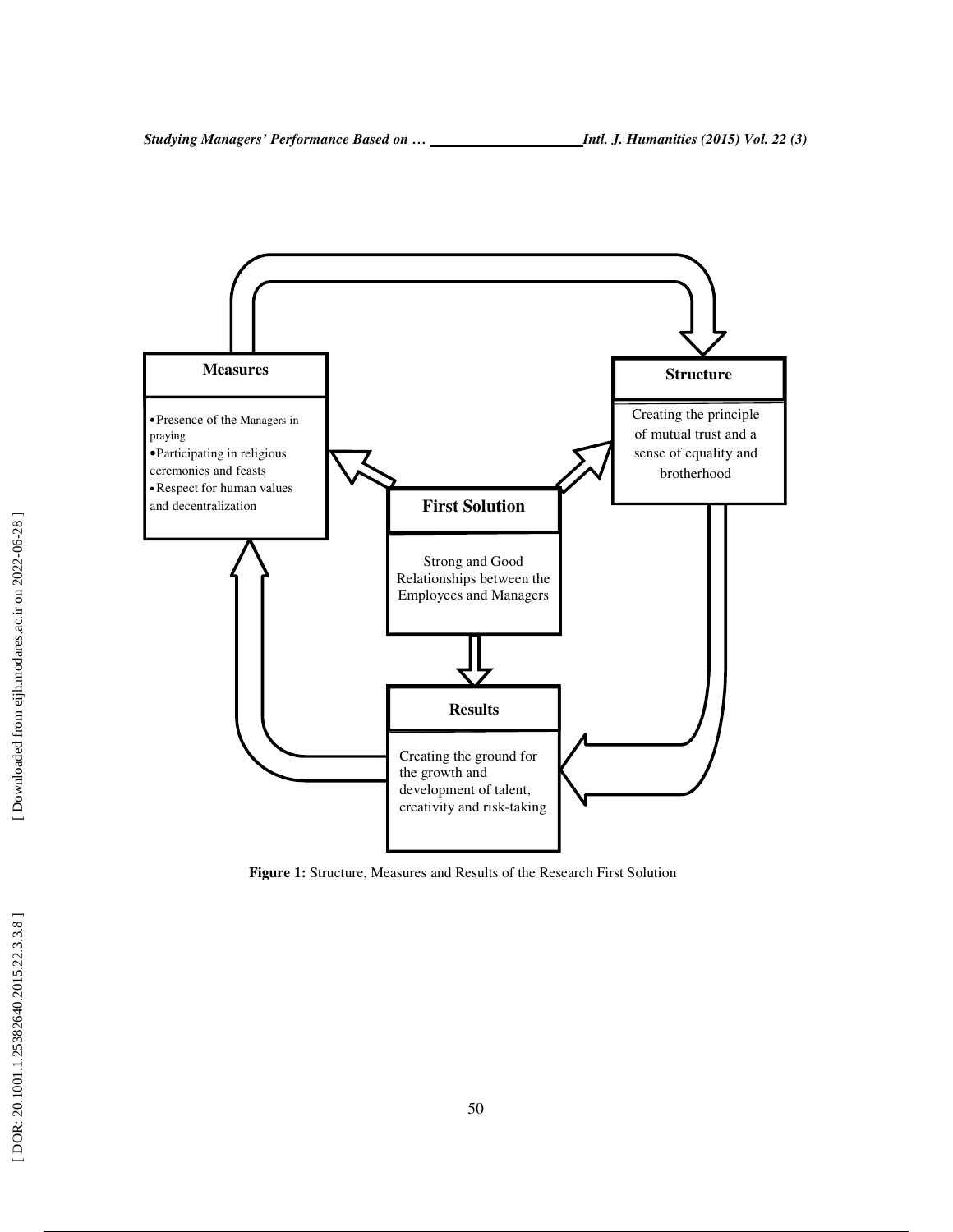

**Figure 1:** Structure, Measures and Results of the Research First Solution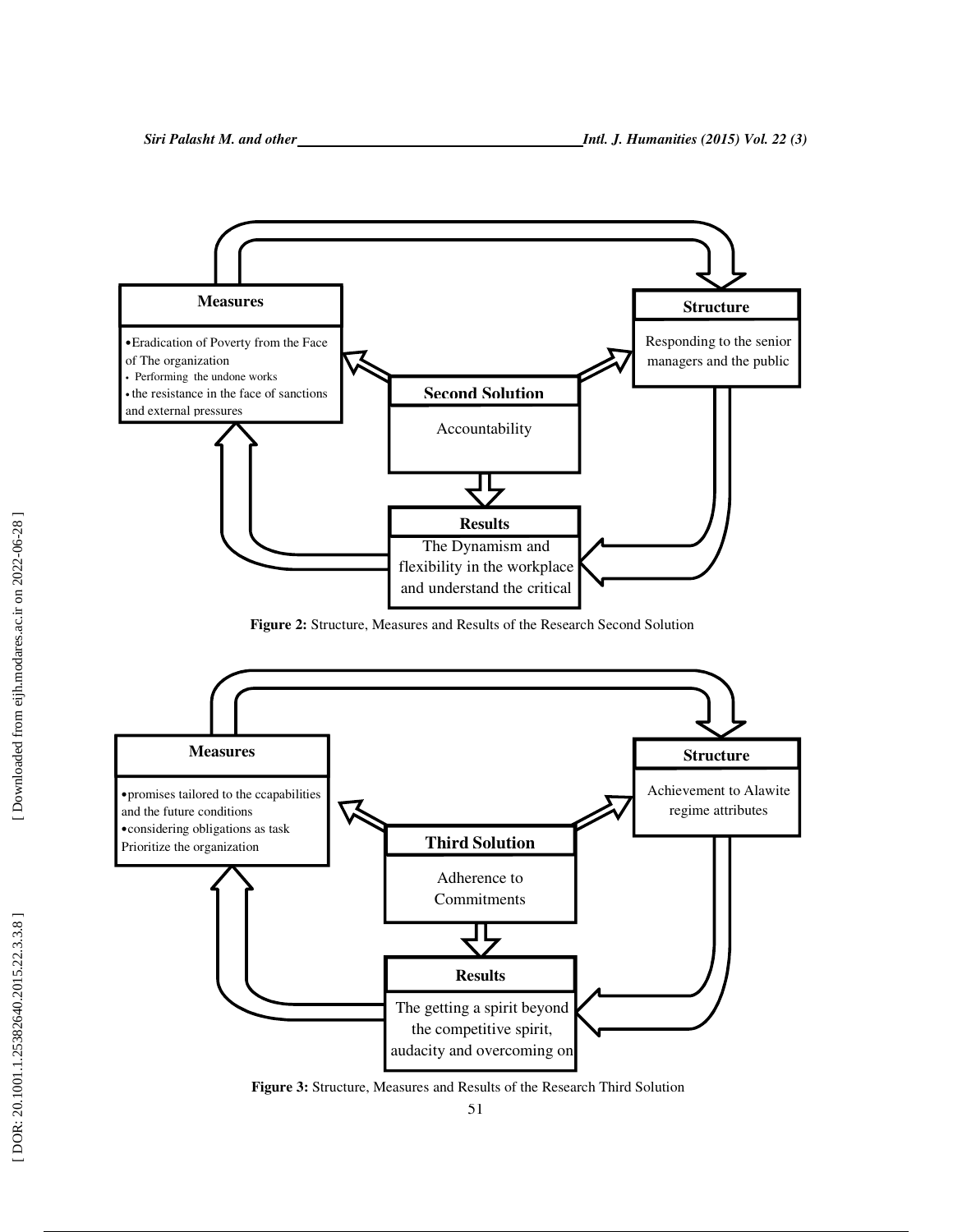

**Figure 2:** Structure, Measures and Results of the Research Second Solution



**Figure 3:** Structure, Measures and Results of the Research Third Solution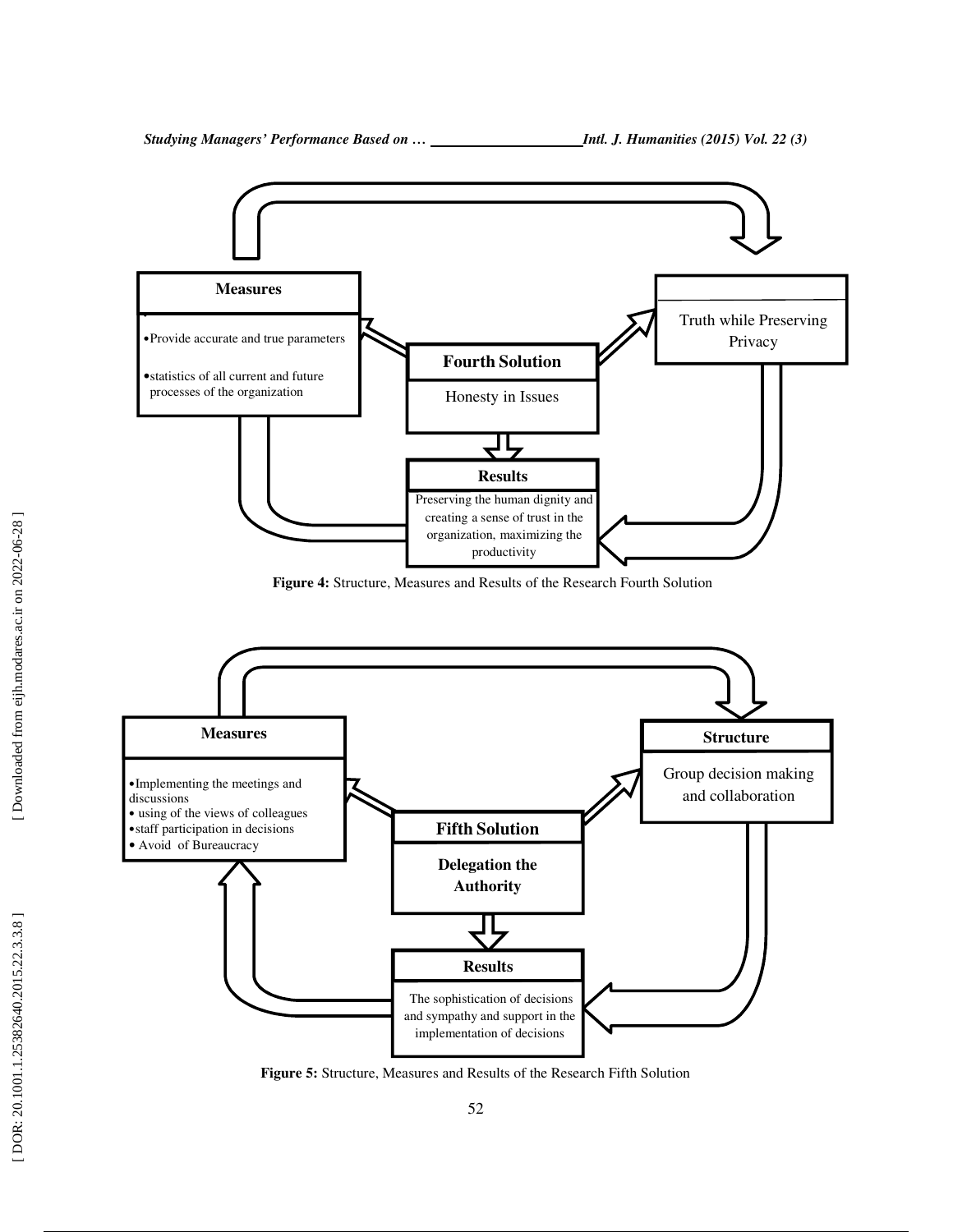

**Figure 4:** Structure, Measures and Results of the Research Fourth Solution



**Figure 5:** Structure, Measures and Results of the Research Fifth Solution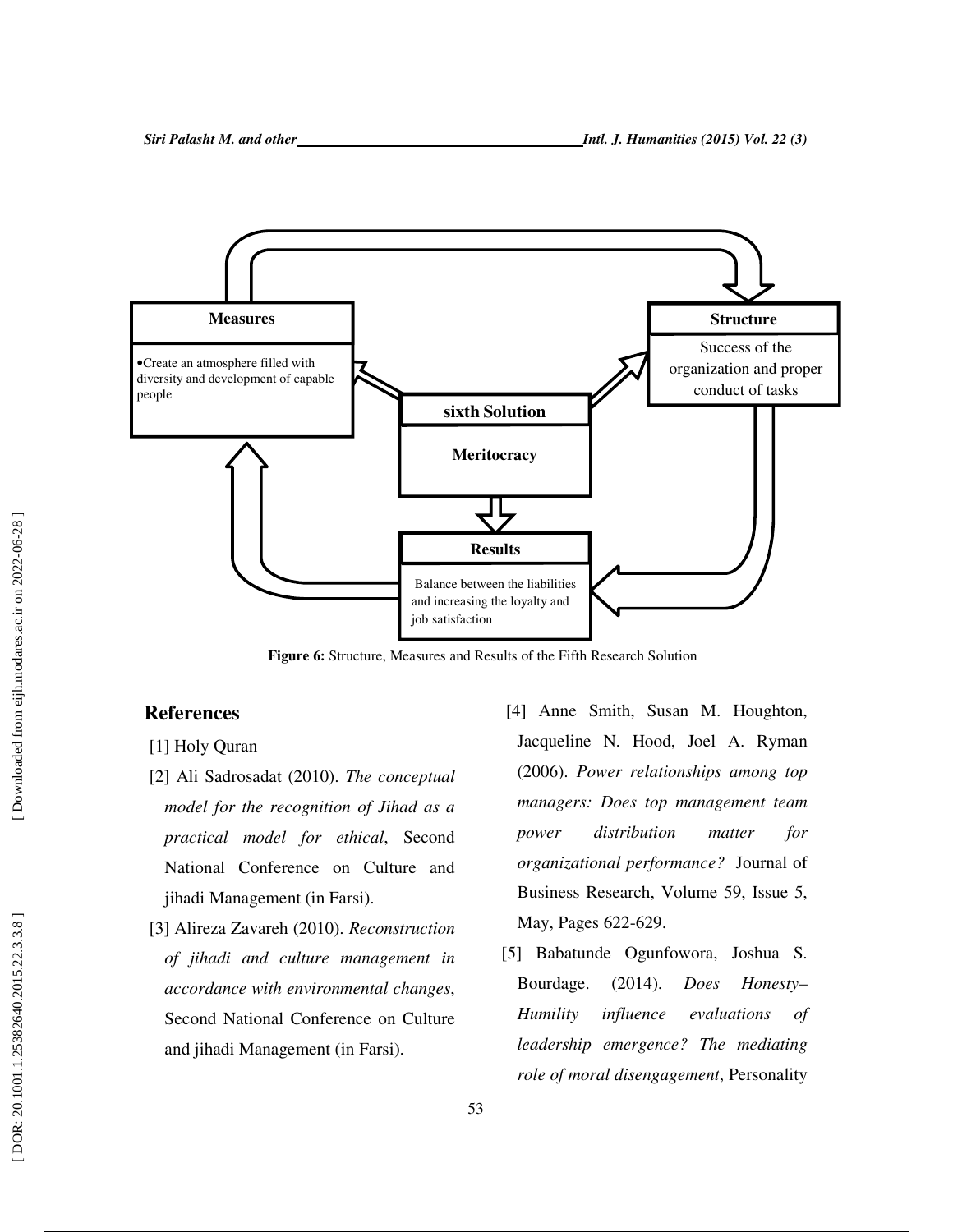

**Figure 6:** Structure, Measures and Results of the Fifth Research Solution

### **References**

- [1] Holy Quran
- [2] Ali Sadrosadat (2010). *The conceptual model for the recognition of Jihad as a practical model for ethical*, Second National Conference on Culture and jihadi Management (in Farsi).
- [3] Alireza Zavareh (2010). *Reconstruction of jihadi and culture management in accordance with environmental changes*, Second National Conference on Culture and jihadi Management (in Farsi).
- [4] Anne Smith, Susan M. Houghton, Jacqueline N. Hood, Joel A. Ryman (2006). *Power relationships among top managers: Does top management team power distribution matter for organizational performance?* Journal of Business Research, Volume 59, Issue 5, May, Pages 622-629.
- [5] Babatunde Ogunfowora, Joshua S. Bourdage. (2014). *Does Honesty– Humility influence evaluations of leadership emergence? The mediating role of moral disengagement*, Personality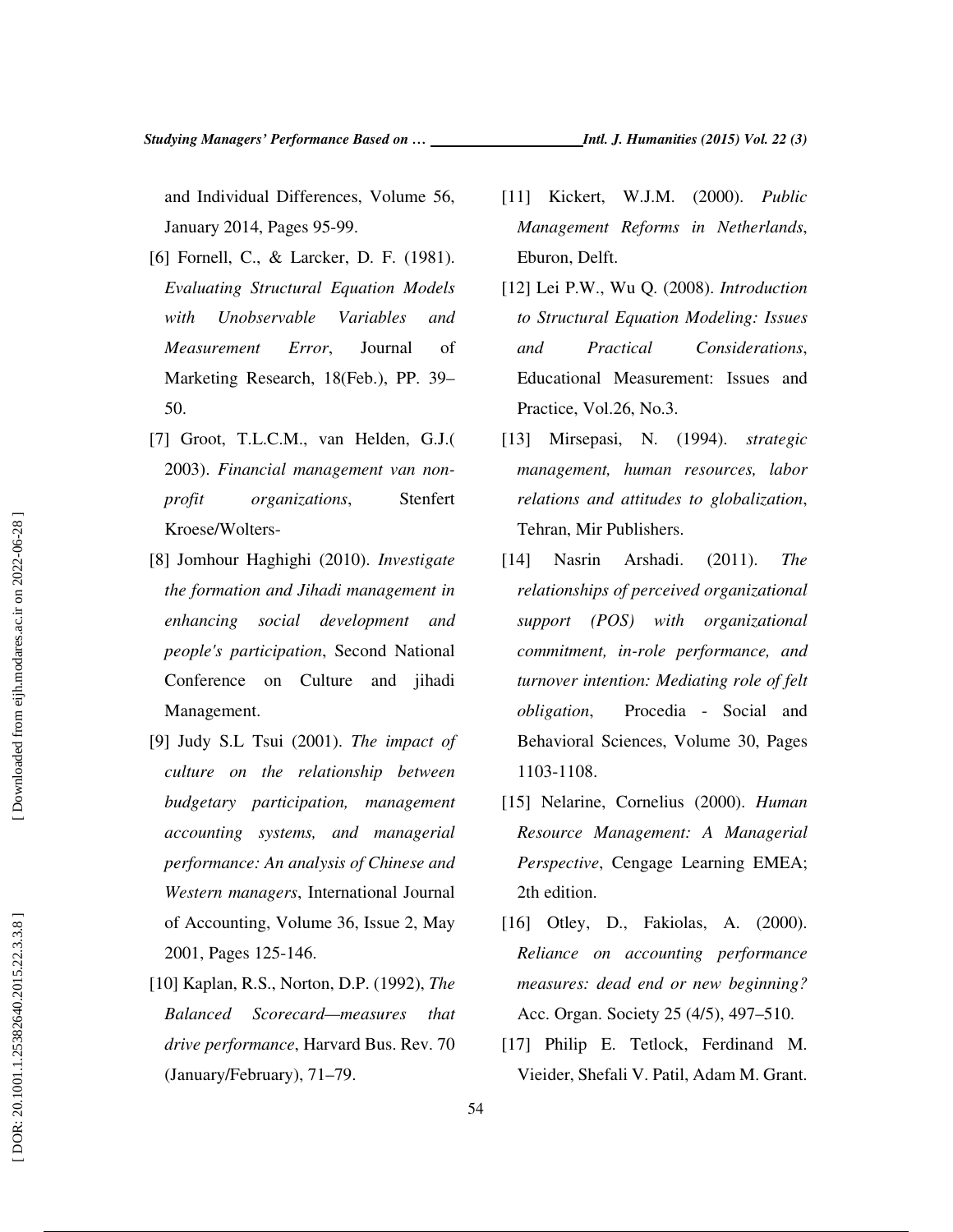and Individual Differences, Volume 56, January 2014, Pages 95-99.

- [6] Fornell, C., & Larcker, D. F. (1981). *Evaluating Structural Equation Models with Unobservable Variables and Measurement Error*, Journal of Marketing Research, 18(Feb.), PP. 39– 50.
- [7] Groot, T.L.C.M., van Helden, G.J.( 2003). *Financial management van nonprofit organizations*, Stenfert Kroese/Wolters-
- [8] Jomhour Haghighi (2010). *Investigate the formation and Jihadi management in enhancing social development and people's participation*, Second National Conference on Culture and jihadi Management.
- [9] Judy S.L Tsui (2001). *The impact of culture on the relationship between budgetary participation, management accounting systems, and managerial performance: An analysis of Chinese and Western managers*, International Journal of Accounting, Volume 36, Issue 2, May 2001, Pages 125-146.
- [10] Kaplan, R.S., Norton, D.P. (1992), *The Balanced Scorecard—measures that drive performance*, Harvard Bus. Rev. 70 (January/February), 71–79.
- [11] Kickert, W.J.M. (2000). *Public Management Reforms in Netherlands*, Eburon, Delft.
- [12] Lei P.W., Wu Q. (2008). *Introduction to Structural Equation Modeling: Issues and Practical Considerations*, Educational Measurement: Issues and Practice, Vol.26, No.3.
- [13] Mirsepasi, N. (1994). *strategic management, human resources, labor relations and attitudes to globalization*, Tehran, Mir Publishers.
- [14] Nasrin Arshadi. (2011). *The relationships of perceived organizational support (POS) with organizational commitment, in-role performance, and turnover intention: Mediating role of felt obligation*, Procedia - Social and Behavioral Sciences, Volume 30, Pages 1103-1108.
- [15] Nelarine, Cornelius (2000). *Human Resource Management: A Managerial Perspective*, Cengage Learning EMEA; 2th edition.
- [16] Otley, D., Fakiolas, A. (2000). *Reliance on accounting performance measures: dead end or new beginning?* Acc. Organ. Society 25 (4/5), 497–510.
- [17] Philip E. Tetlock, Ferdinand M. Vieider, Shefali V. Patil, Adam M. Grant.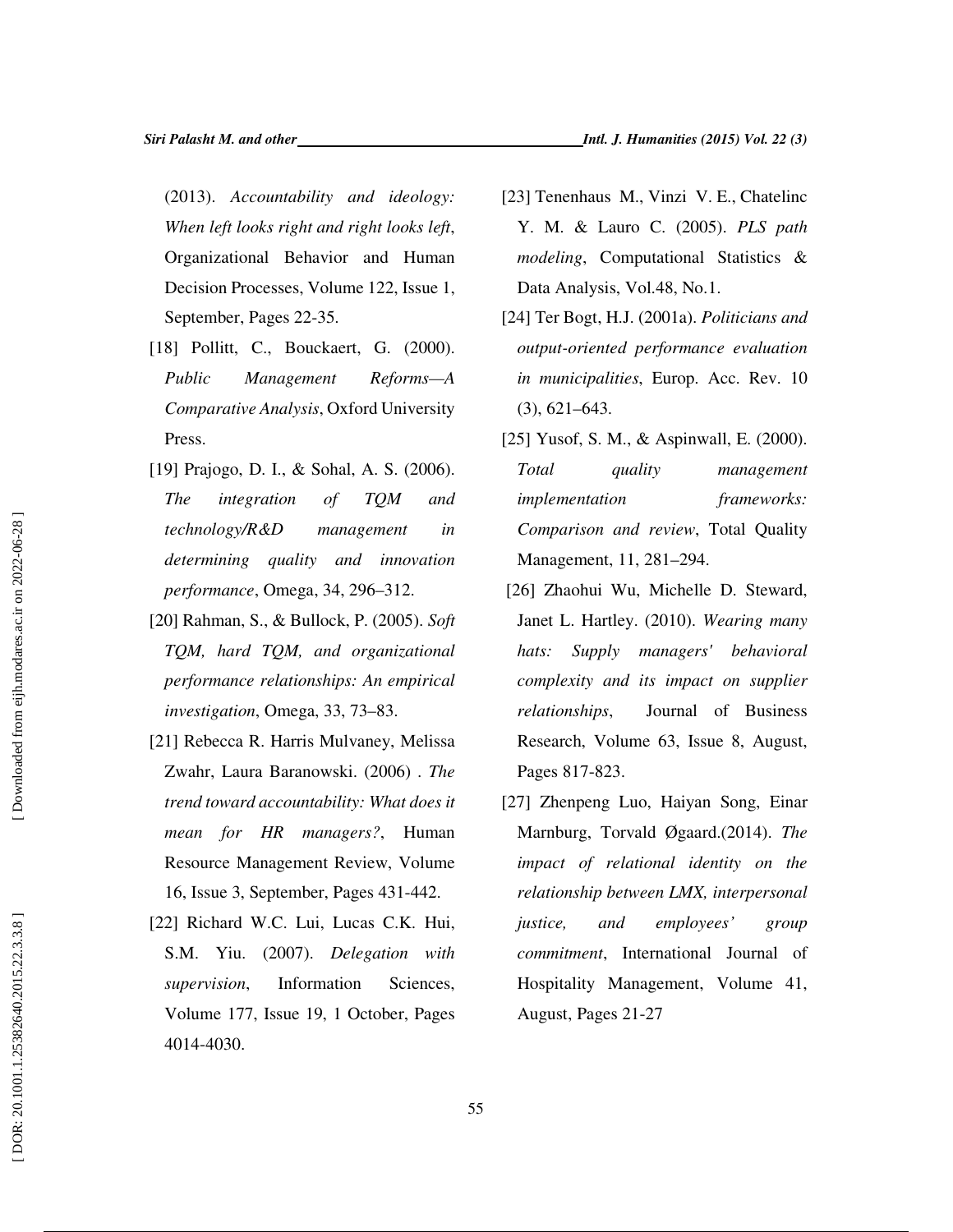- (2013). *Accountability and ideology: When left looks right and right looks left*, Organizational Behavior and Human Decision Processes, Volume 122, Issue 1, September, Pages 22-35.
- [18] Pollitt, C., Bouckaert, G. (2000). *Public Management Reforms—A Comparative Analysis*, Oxford University Press.
- [19] Prajogo, D. I., & Sohal, A. S. (2006). *The integration of TQM and technology/R&D management in determining quality and innovation performance*, Omega, 34, 296–312.
- [20] Rahman, S., & Bullock, P. (2005). *Soft TQM, hard TQM, and organizational performance relationships: An empirical investigation*, Omega, 33, 73–83.
- [21] Rebecca R. Harris Mulvaney, Melissa Zwahr, Laura Baranowski. (2006) . *The trend toward accountability: What does it mean for HR managers?*, Human Resource Management Review, Volume 16, Issue 3, September, Pages 431-442.
- [22] Richard W.C. Lui, Lucas C.K. Hui, S.M. Yiu. (2007). *Delegation with supervision*, Information Sciences, Volume 177, Issue 19, 1 October, Pages 4014-4030.
- [23] Tenenhaus M., Vinzi V. E., Chatelinc Y. M. & Lauro C. (2005). *PLS path modeling*, Computational Statistics & Data Analysis, Vol.48, No.1.
- [24] Ter Bogt, H.J. (2001a). *Politicians and output-oriented performance evaluation in municipalities*, Europ. Acc. Rev. 10 (3), 621–643.
- [25] Yusof, S. M., & Aspinwall, E. (2000). *Total quality management implementation frameworks: Comparison and review*, Total Quality Management, 11, 281–294.
- [26] Zhaohui Wu, Michelle D. Steward, Janet L. Hartley. (2010). *Wearing many hats: Supply managers' behavioral complexity and its impact on supplier relationships*, Journal of Business Research, Volume 63, Issue 8, August, Pages 817-823.
- [27] Zhenpeng Luo, Haiyan Song, Einar Marnburg, Torvald Øgaard.(2014). *The impact of relational identity on the relationship between LMX, interpersonal justice, and employees' group commitment*, International Journal of Hospitality Management, Volume 41, August, Pages 21-27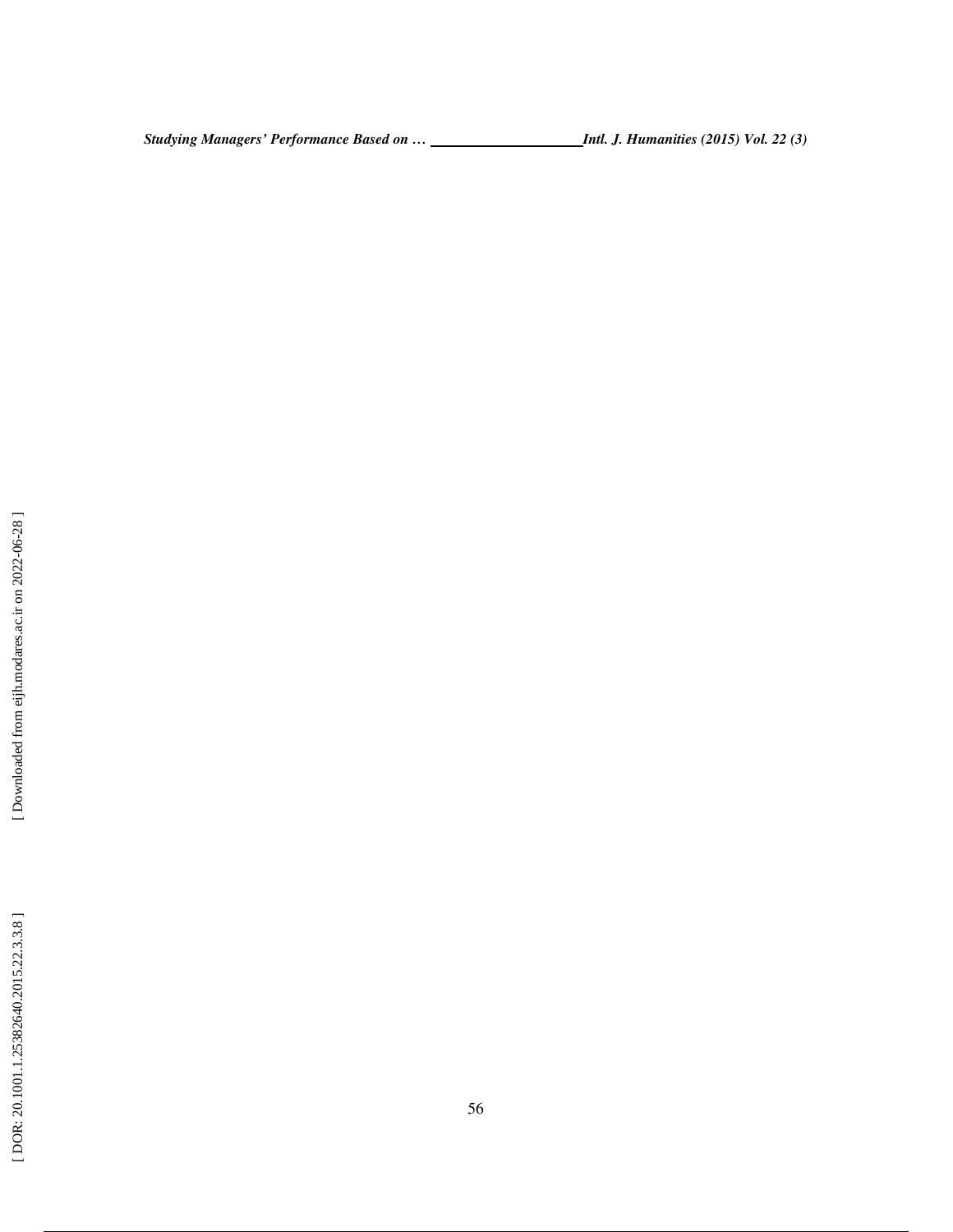*Studying Managers' Performance Based on … Intl. J. Humanities (2015) Vol. 22 (3)*